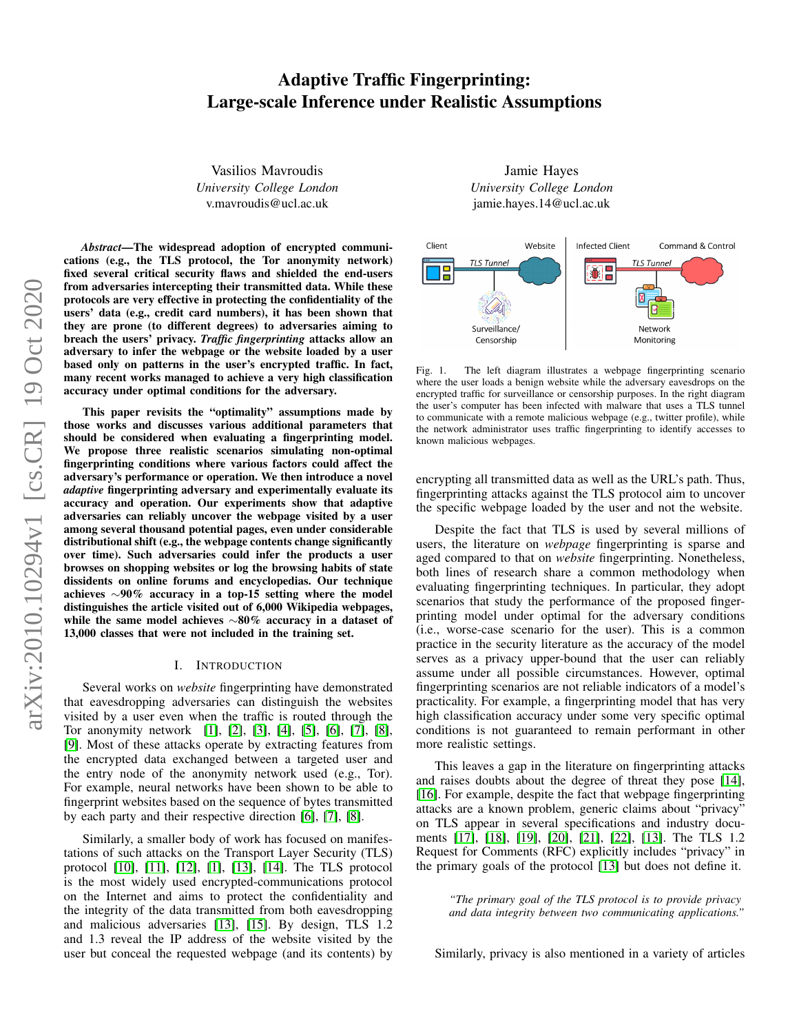# Adaptive Traffic Fingerprinting: Large-scale Inference under Realistic Assumptions

Vasilios Mavroudis *University College London* v.mavroudis@ucl.ac.uk

*Abstract*—The widespread adoption of encrypted communications (e.g., the TLS protocol, the Tor anonymity network) fixed several critical security flaws and shielded the end-users from adversaries intercepting their transmitted data. While these protocols are very effective in protecting the confidentiality of the users' data (e.g., credit card numbers), it has been shown that they are prone (to different degrees) to adversaries aiming to breach the users' privacy. *Traffic fingerprinting* attacks allow an adversary to infer the webpage or the website loaded by a user based only on patterns in the user's encrypted traffic. In fact, many recent works managed to achieve a very high classification accuracy under optimal conditions for the adversary.

This paper revisits the "optimality" assumptions made by those works and discusses various additional parameters that should be considered when evaluating a fingerprinting model. We propose three realistic scenarios simulating non-optimal fingerprinting conditions where various factors could affect the adversary's performance or operation. We then introduce a novel *adaptive* fingerprinting adversary and experimentally evaluate its accuracy and operation. Our experiments show that adaptive adversaries can reliably uncover the webpage visited by a user among several thousand potential pages, even under considerable distributional shift (e.g., the webpage contents change significantly over time). Such adversaries could infer the products a user browses on shopping websites or log the browsing habits of state dissidents on online forums and encyclopedias. Our technique achieves ∼90% accuracy in a top-15 setting where the model distinguishes the article visited out of 6,000 Wikipedia webpages, while the same model achieves ∼80% accuracy in a dataset of 13,000 classes that were not included in the training set.

## I. INTRODUCTION

<span id="page-0-0"></span>Several works on *website* fingerprinting have demonstrated that eavesdropping adversaries can distinguish the websites visited by a user even when the traffic is routed through the Tor anonymity network [\[1\]](#page-11-0), [\[2\]](#page-11-1), [\[3\]](#page-11-2), [\[4\]](#page-11-3), [\[5\]](#page-11-4), [\[6\]](#page-11-5), [\[7\]](#page-11-6), [\[8\]](#page-11-7), [\[9\]](#page-11-8). Most of these attacks operate by extracting features from the encrypted data exchanged between a targeted user and the entry node of the anonymity network used (e.g., Tor). For example, neural networks have been shown to be able to fingerprint websites based on the sequence of bytes transmitted by each party and their respective direction [\[6\]](#page-11-5), [\[7\]](#page-11-6), [\[8\]](#page-11-7).

Similarly, a smaller body of work has focused on manifestations of such attacks on the Transport Layer Security (TLS) protocol [\[10\]](#page-11-9), [\[11\]](#page-11-10), [\[12\]](#page-11-11), [\[1\]](#page-11-0), [\[13\]](#page-11-12), [\[14\]](#page-11-13). The TLS protocol is the most widely used encrypted-communications protocol on the Internet and aims to protect the confidentiality and the integrity of the data transmitted from both eavesdropping and malicious adversaries [\[13\]](#page-11-12), [\[15\]](#page-11-14). By design, TLS 1.2 and 1.3 reveal the IP address of the website visited by the user but conceal the requested webpage (and its contents) by

Jamie Hayes *University College London* jamie.hayes.14@ucl.ac.uk



Fig. 1. The left diagram illustrates a webpage fingerprinting scenario where the user loads a benign website while the adversary eavesdrops on the encrypted traffic for surveillance or censorship purposes. In the right diagram the user's computer has been infected with malware that uses a TLS tunnel to communicate with a remote malicious webpage (e.g., twitter profile), while the network administrator uses traffic fingerprinting to identify accesses to known malicious webpages.

encrypting all transmitted data as well as the URL's path. Thus, fingerprinting attacks against the TLS protocol aim to uncover the specific webpage loaded by the user and not the website.

Despite the fact that TLS is used by several millions of users, the literature on *webpage* fingerprinting is sparse and aged compared to that on *website* fingerprinting. Nonetheless, both lines of research share a common methodology when evaluating fingerprinting techniques. In particular, they adopt scenarios that study the performance of the proposed fingerprinting model under optimal for the adversary conditions (i.e., worse-case scenario for the user). This is a common practice in the security literature as the accuracy of the model serves as a privacy upper-bound that the user can reliably assume under all possible circumstances. However, optimal fingerprinting scenarios are not reliable indicators of a model's practicality. For example, a fingerprinting model that has very high classification accuracy under some very specific optimal conditions is not guaranteed to remain performant in other more realistic settings.

This leaves a gap in the literature on fingerprinting attacks and raises doubts about the degree of threat they pose [\[14\]](#page-11-13), [\[16\]](#page-11-15). For example, despite the fact that webpage fingerprinting attacks are a known problem, generic claims about "privacy" on TLS appear in several specifications and industry documents [\[17\]](#page-11-16), [\[18\]](#page-11-17), [\[19\]](#page-11-18), [\[20\]](#page-11-19), [\[21\]](#page-11-20), [\[22\]](#page-11-21), [\[13\]](#page-11-12). The TLS 1.2 Request for Comments (RFC) explicitly includes "privacy" in the primary goals of the protocol [\[13\]](#page-11-12) but does not define it.

> *"The primary goal of the TLS protocol is to provide privacy and data integrity between two communicating applications."*

Similarly, privacy is also mentioned in a variety of articles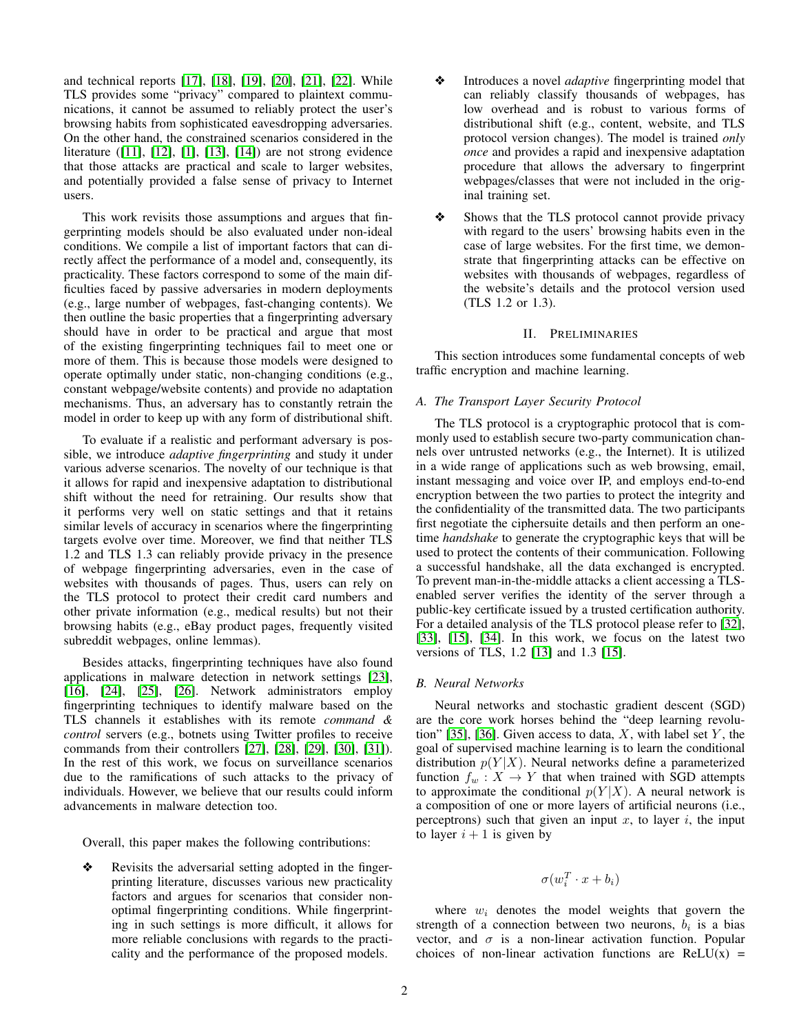and technical reports [\[17\]](#page-11-16), [\[18\]](#page-11-17), [\[19\]](#page-11-18), [\[20\]](#page-11-19), [\[21\]](#page-11-20), [\[22\]](#page-11-21). While TLS provides some "privacy" compared to plaintext communications, it cannot be assumed to reliably protect the user's browsing habits from sophisticated eavesdropping adversaries. On the other hand, the constrained scenarios considered in the literature ([\[11\]](#page-11-10), [\[12\]](#page-11-11), [\[1\]](#page-11-0), [\[13\]](#page-11-12), [\[14\]](#page-11-13)) are not strong evidence that those attacks are practical and scale to larger websites, and potentially provided a false sense of privacy to Internet users.

This work revisits those assumptions and argues that fingerprinting models should be also evaluated under non-ideal conditions. We compile a list of important factors that can directly affect the performance of a model and, consequently, its practicality. These factors correspond to some of the main difficulties faced by passive adversaries in modern deployments (e.g., large number of webpages, fast-changing contents). We then outline the basic properties that a fingerprinting adversary should have in order to be practical and argue that most of the existing fingerprinting techniques fail to meet one or more of them. This is because those models were designed to operate optimally under static, non-changing conditions (e.g., constant webpage/website contents) and provide no adaptation mechanisms. Thus, an adversary has to constantly retrain the model in order to keep up with any form of distributional shift.

To evaluate if a realistic and performant adversary is possible, we introduce *adaptive fingerprinting* and study it under various adverse scenarios. The novelty of our technique is that it allows for rapid and inexpensive adaptation to distributional shift without the need for retraining. Our results show that it performs very well on static settings and that it retains similar levels of accuracy in scenarios where the fingerprinting targets evolve over time. Moreover, we find that neither TLS 1.2 and TLS 1.3 can reliably provide privacy in the presence of webpage fingerprinting adversaries, even in the case of websites with thousands of pages. Thus, users can rely on the TLS protocol to protect their credit card numbers and other private information (e.g., medical results) but not their browsing habits (e.g., eBay product pages, frequently visited subreddit webpages, online lemmas).

Besides attacks, fingerprinting techniques have also found applications in malware detection in network settings [\[23\]](#page-11-22), [\[16\]](#page-11-15), [\[24\]](#page-11-23), [\[25\]](#page-11-24), [\[26\]](#page-11-25). Network administrators employ fingerprinting techniques to identify malware based on the TLS channels it establishes with its remote *command & control* servers (e.g., botnets using Twitter profiles to receive commands from their controllers [\[27\]](#page-11-26), [\[28\]](#page-11-27), [\[29\]](#page-11-28), [\[30\]](#page-12-0), [\[31\]](#page-12-1)). In the rest of this work, we focus on surveillance scenarios due to the ramifications of such attacks to the privacy of individuals. However, we believe that our results could inform advancements in malware detection too.

Overall, this paper makes the following contributions:

Revisits the adversarial setting adopted in the fingerprinting literature, discusses various new practicality factors and argues for scenarios that consider nonoptimal fingerprinting conditions. While fingerprinting in such settings is more difficult, it allows for more reliable conclusions with regards to the practicality and the performance of the proposed models.

- ❖ Introduces a novel *adaptive* fingerprinting model that can reliably classify thousands of webpages, has low overhead and is robust to various forms of distributional shift (e.g., content, website, and TLS protocol version changes). The model is trained *only once* and provides a rapid and inexpensive adaptation procedure that allows the adversary to fingerprint webpages/classes that were not included in the original training set.
- Shows that the TLS protocol cannot provide privacy with regard to the users' browsing habits even in the case of large websites. For the first time, we demonstrate that fingerprinting attacks can be effective on websites with thousands of webpages, regardless of the website's details and the protocol version used (TLS 1.2 or 1.3).

## II. PRELIMINARIES

This section introduces some fundamental concepts of web traffic encryption and machine learning.

## *A. The Transport Layer Security Protocol*

The TLS protocol is a cryptographic protocol that is commonly used to establish secure two-party communication channels over untrusted networks (e.g., the Internet). It is utilized in a wide range of applications such as web browsing, email, instant messaging and voice over IP, and employs end-to-end encryption between the two parties to protect the integrity and the confidentiality of the transmitted data. The two participants first negotiate the ciphersuite details and then perform an onetime *handshake* to generate the cryptographic keys that will be used to protect the contents of their communication. Following a successful handshake, all the data exchanged is encrypted. To prevent man-in-the-middle attacks a client accessing a TLSenabled server verifies the identity of the server through a public-key certificate issued by a trusted certification authority. For a detailed analysis of the TLS protocol please refer to [\[32\]](#page-12-2), [\[33\]](#page-12-3), [\[15\]](#page-11-14), [\[34\]](#page-12-4). In this work, we focus on the latest two versions of TLS, 1.2 [\[13\]](#page-11-12) and 1.3 [\[15\]](#page-11-14).

## *B. Neural Networks*

Neural networks and stochastic gradient descent (SGD) are the core work horses behind the "deep learning revolu-tion" [\[35\]](#page-12-5), [\[36\]](#page-12-6). Given access to data,  $X$ , with label set  $Y$ , the goal of supervised machine learning is to learn the conditional distribution  $p(Y|X)$ . Neural networks define a parameterized function  $f_w : X \to Y$  that when trained with SGD attempts to approximate the conditional  $p(Y|X)$ . A neural network is a composition of one or more layers of artificial neurons (i.e., perceptrons) such that given an input  $x$ , to layer  $i$ , the input to layer  $i + 1$  is given by

$$
\sigma(w_i^T\cdot x + b_i)
$$

where  $w_i$  denotes the model weights that govern the strength of a connection between two neurons,  $b_i$  is a bias vector, and  $\sigma$  is a non-linear activation function. Popular choices of non-linear activation functions are  $ReLU(x)$  =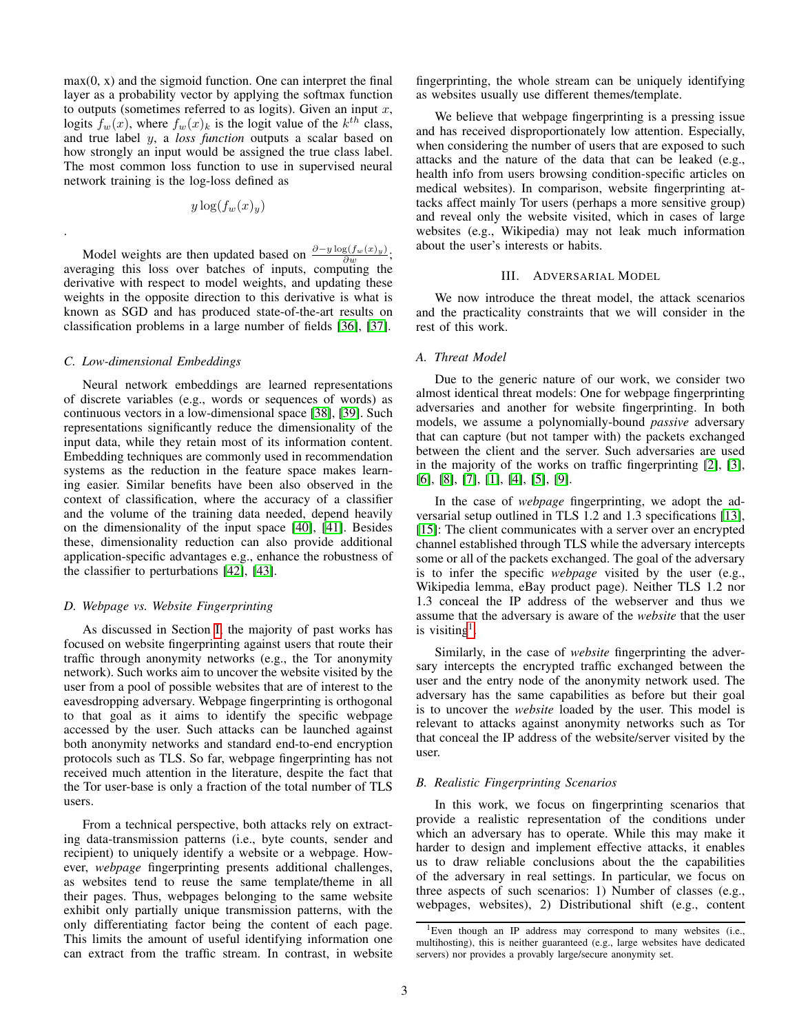$max(0, x)$  and the sigmoid function. One can interpret the final layer as a probability vector by applying the softmax function to outputs (sometimes referred to as logits). Given an input  $x$ , logits  $f_w(x)$ , where  $f_w(x)_k$  is the logit value of the  $k^{th}$  class, and true label y, a *loss function* outputs a scalar based on how strongly an input would be assigned the true class label. The most common loss function to use in supervised neural network training is the log-loss defined as

$$
y\log(f_w(x)_y)
$$

Model weights are then updated based on  $\frac{\partial - y \log(f_w(x)_y)}{\partial w}$ ; averaging this loss over batches of inputs, computing the derivative with respect to model weights, and updating these weights in the opposite direction to this derivative is what is known as SGD and has produced state-of-the-art results on classification problems in a large number of fields [\[36\]](#page-12-6), [\[37\]](#page-12-7).

#### <span id="page-2-2"></span>*C. Low-dimensional Embeddings*

.

Neural network embeddings are learned representations of discrete variables (e.g., words or sequences of words) as continuous vectors in a low-dimensional space [\[38\]](#page-12-8), [\[39\]](#page-12-9). Such representations significantly reduce the dimensionality of the input data, while they retain most of its information content. Embedding techniques are commonly used in recommendation systems as the reduction in the feature space makes learning easier. Similar benefits have been also observed in the context of classification, where the accuracy of a classifier and the volume of the training data needed, depend heavily on the dimensionality of the input space [\[40\]](#page-12-10), [\[41\]](#page-12-11). Besides these, dimensionality reduction can also provide additional application-specific advantages e.g., enhance the robustness of the classifier to perturbations [\[42\]](#page-12-12), [\[43\]](#page-12-13).

#### *D. Webpage vs. Website Fingerprinting*

As discussed in Section [I,](#page-0-0) the majority of past works has focused on website fingerprinting against users that route their traffic through anonymity networks (e.g., the Tor anonymity network). Such works aim to uncover the website visited by the user from a pool of possible websites that are of interest to the eavesdropping adversary. Webpage fingerprinting is orthogonal to that goal as it aims to identify the specific webpage accessed by the user. Such attacks can be launched against both anonymity networks and standard end-to-end encryption protocols such as TLS. So far, webpage fingerprinting has not received much attention in the literature, despite the fact that the Tor user-base is only a fraction of the total number of TLS users.

From a technical perspective, both attacks rely on extracting data-transmission patterns (i.e., byte counts, sender and recipient) to uniquely identify a website or a webpage. However, *webpage* fingerprinting presents additional challenges, as websites tend to reuse the same template/theme in all their pages. Thus, webpages belonging to the same website exhibit only partially unique transmission patterns, with the only differentiating factor being the content of each page. This limits the amount of useful identifying information one can extract from the traffic stream. In contrast, in website fingerprinting, the whole stream can be uniquely identifying as websites usually use different themes/template.

We believe that webpage fingerprinting is a pressing issue and has received disproportionately low attention. Especially, when considering the number of users that are exposed to such attacks and the nature of the data that can be leaked (e.g., health info from users browsing condition-specific articles on medical websites). In comparison, website fingerprinting attacks affect mainly Tor users (perhaps a more sensitive group) and reveal only the website visited, which in cases of large websites (e.g., Wikipedia) may not leak much information about the user's interests or habits.

### III. ADVERSARIAL MODEL

We now introduce the threat model, the attack scenarios and the practicality constraints that we will consider in the rest of this work.

## <span id="page-2-3"></span>*A. Threat Model*

Due to the generic nature of our work, we consider two almost identical threat models: One for webpage fingerprinting adversaries and another for website fingerprinting. In both models, we assume a polynomially-bound *passive* adversary that can capture (but not tamper with) the packets exchanged between the client and the server. Such adversaries are used in the majority of the works on traffic fingerprinting [\[2\]](#page-11-1), [\[3\]](#page-11-2), [\[6\]](#page-11-5), [\[8\]](#page-11-7), [\[7\]](#page-11-6), [\[1\]](#page-11-0), [\[4\]](#page-11-3), [\[5\]](#page-11-4), [\[9\]](#page-11-8).

In the case of *webpage* fingerprinting, we adopt the adversarial setup outlined in TLS 1.2 and 1.3 specifications [\[13\]](#page-11-12), [\[15\]](#page-11-14): The client communicates with a server over an encrypted channel established through TLS while the adversary intercepts some or all of the packets exchanged. The goal of the adversary is to infer the specific *webpage* visited by the user (e.g., Wikipedia lemma, eBay product page). Neither TLS 1.2 nor 1.3 conceal the IP address of the webserver and thus we assume that the adversary is aware of the *website* that the user is visiting<sup>[1](#page-2-0)</sup>.

Similarly, in the case of *website* fingerprinting the adversary intercepts the encrypted traffic exchanged between the user and the entry node of the anonymity network used. The adversary has the same capabilities as before but their goal is to uncover the *website* loaded by the user. This model is relevant to attacks against anonymity networks such as Tor that conceal the IP address of the website/server visited by the user.

# <span id="page-2-1"></span>*B. Realistic Fingerprinting Scenarios*

In this work, we focus on fingerprinting scenarios that provide a realistic representation of the conditions under which an adversary has to operate. While this may make it harder to design and implement effective attacks, it enables us to draw reliable conclusions about the the capabilities of the adversary in real settings. In particular, we focus on three aspects of such scenarios: 1) Number of classes (e.g., webpages, websites), 2) Distributional shift (e.g., content

<span id="page-2-0"></span><sup>&</sup>lt;sup>1</sup>Even though an IP address may correspond to many websites (i.e., multihosting), this is neither guaranteed (e.g., large websites have dedicated servers) nor provides a provably large/secure anonymity set.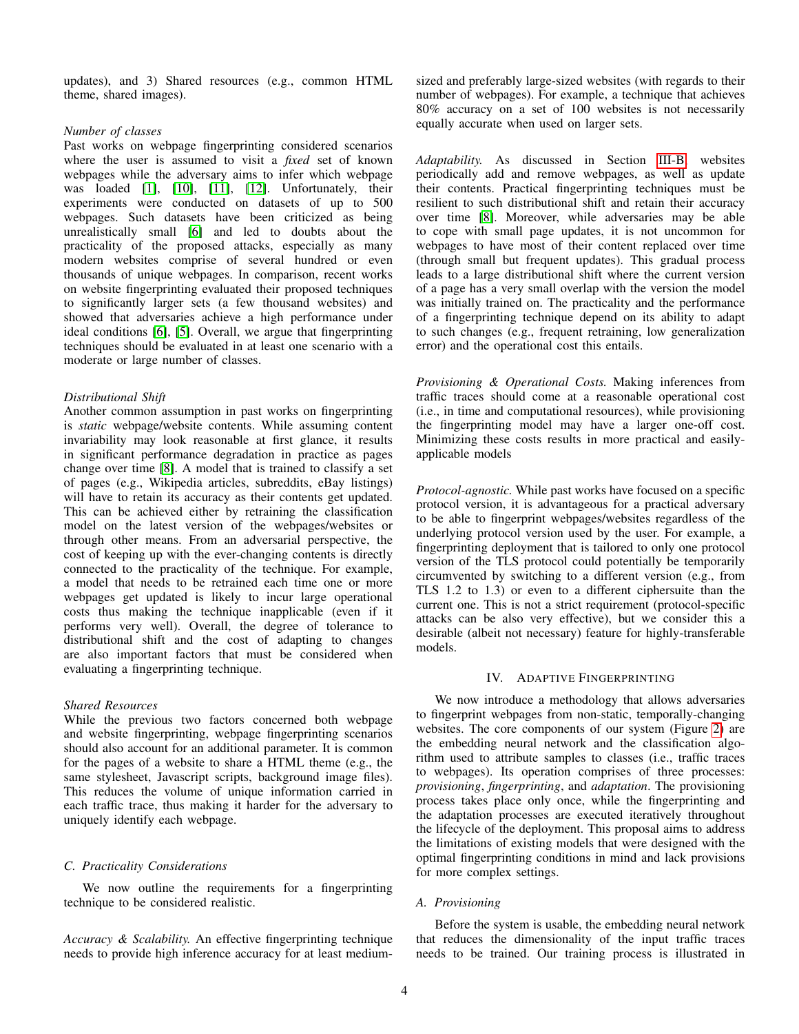updates), and 3) Shared resources (e.g., common HTML theme, shared images).

#### *Number of classes*

Past works on webpage fingerprinting considered scenarios where the user is assumed to visit a *fixed* set of known webpages while the adversary aims to infer which webpage was loaded [\[1\]](#page-11-0), [\[10\]](#page-11-9), [\[11\]](#page-11-10), [\[12\]](#page-11-11). Unfortunately, their experiments were conducted on datasets of up to 500 webpages. Such datasets have been criticized as being unrealistically small [\[6\]](#page-11-5) and led to doubts about the practicality of the proposed attacks, especially as many modern websites comprise of several hundred or even thousands of unique webpages. In comparison, recent works on website fingerprinting evaluated their proposed techniques to significantly larger sets (a few thousand websites) and showed that adversaries achieve a high performance under ideal conditions [\[6\]](#page-11-5), [\[5\]](#page-11-4). Overall, we argue that fingerprinting techniques should be evaluated in at least one scenario with a moderate or large number of classes.

#### *Distributional Shift*

Another common assumption in past works on fingerprinting is *static* webpage/website contents. While assuming content invariability may look reasonable at first glance, it results in significant performance degradation in practice as pages change over time [\[8\]](#page-11-7). A model that is trained to classify a set of pages (e.g., Wikipedia articles, subreddits, eBay listings) will have to retain its accuracy as their contents get updated. This can be achieved either by retraining the classification model on the latest version of the webpages/websites or through other means. From an adversarial perspective, the cost of keeping up with the ever-changing contents is directly connected to the practicality of the technique. For example, a model that needs to be retrained each time one or more webpages get updated is likely to incur large operational costs thus making the technique inapplicable (even if it performs very well). Overall, the degree of tolerance to distributional shift and the cost of adapting to changes are also important factors that must be considered when evaluating a fingerprinting technique.

# *Shared Resources*

While the previous two factors concerned both webpage and website fingerprinting, webpage fingerprinting scenarios should also account for an additional parameter. It is common for the pages of a website to share a HTML theme (e.g., the same stylesheet, Javascript scripts, background image files). This reduces the volume of unique information carried in each traffic trace, thus making it harder for the adversary to uniquely identify each webpage.

## *C. Practicality Considerations*

We now outline the requirements for a fingerprinting technique to be considered realistic.

*Accuracy & Scalability.* An effective fingerprinting technique needs to provide high inference accuracy for at least mediumsized and preferably large-sized websites (with regards to their number of webpages). For example, a technique that achieves 80% accuracy on a set of 100 websites is not necessarily equally accurate when used on larger sets.

*Adaptability.* As discussed in Section [III-B,](#page-2-1) websites periodically add and remove webpages, as well as update their contents. Practical fingerprinting techniques must be resilient to such distributional shift and retain their accuracy over time [\[8\]](#page-11-7). Moreover, while adversaries may be able to cope with small page updates, it is not uncommon for webpages to have most of their content replaced over time (through small but frequent updates). This gradual process leads to a large distributional shift where the current version of a page has a very small overlap with the version the model was initially trained on. The practicality and the performance of a fingerprinting technique depend on its ability to adapt to such changes (e.g., frequent retraining, low generalization error) and the operational cost this entails.

*Provisioning & Operational Costs.* Making inferences from traffic traces should come at a reasonable operational cost (i.e., in time and computational resources), while provisioning the fingerprinting model may have a larger one-off cost. Minimizing these costs results in more practical and easilyapplicable models

*Protocol-agnostic.* While past works have focused on a specific protocol version, it is advantageous for a practical adversary to be able to fingerprint webpages/websites regardless of the underlying protocol version used by the user. For example, a fingerprinting deployment that is tailored to only one protocol version of the TLS protocol could potentially be temporarily circumvented by switching to a different version (e.g., from TLS 1.2 to 1.3) or even to a different ciphersuite than the current one. This is not a strict requirement (protocol-specific attacks can be also very effective), but we consider this a desirable (albeit not necessary) feature for highly-transferable models.

#### IV. ADAPTIVE FINGERPRINTING

<span id="page-3-0"></span>We now introduce a methodology that allows adversaries to fingerprint webpages from non-static, temporally-changing websites. The core components of our system (Figure [2\)](#page-4-0) are the embedding neural network and the classification algorithm used to attribute samples to classes (i.e., traffic traces to webpages). Its operation comprises of three processes: *provisioning*, *fingerprinting*, and *adaptation*. The provisioning process takes place only once, while the fingerprinting and the adaptation processes are executed iteratively throughout the lifecycle of the deployment. This proposal aims to address the limitations of existing models that were designed with the optimal fingerprinting conditions in mind and lack provisions for more complex settings.

#### *A. Provisioning*

Before the system is usable, the embedding neural network that reduces the dimensionality of the input traffic traces needs to be trained. Our training process is illustrated in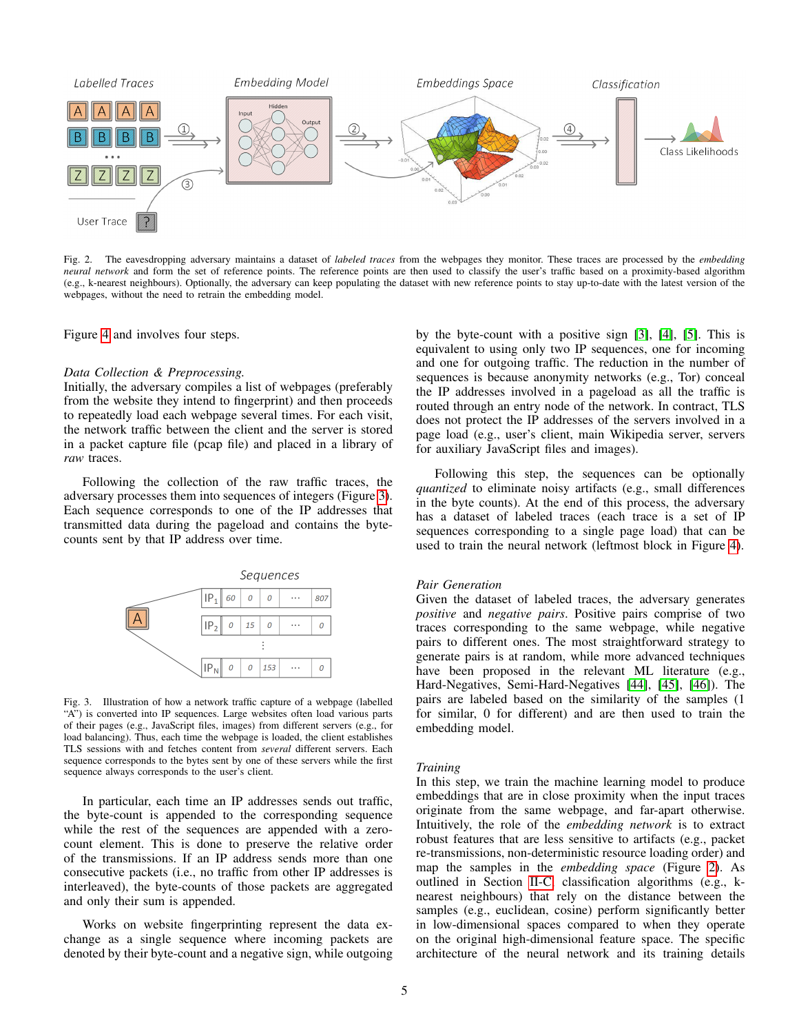

<span id="page-4-0"></span>Fig. 2. The eavesdropping adversary maintains a dataset of *labeled traces* from the webpages they monitor. These traces are processed by the *embedding neural network* and form the set of reference points. The reference points are then used to classify the user's traffic based on a proximity-based algorithm (e.g., k-nearest neighbours). Optionally, the adversary can keep populating the dataset with new reference points to stay up-to-date with the latest version of the webpages, without the need to retrain the embedding model.

Figure [4](#page-5-0) and involves four steps.

#### *Data Collection & Preprocessing.*

Initially, the adversary compiles a list of webpages (preferably from the website they intend to fingerprint) and then proceeds to repeatedly load each webpage several times. For each visit, the network traffic between the client and the server is stored in a packet capture file (pcap file) and placed in a library of *raw* traces.

Following the collection of the raw traffic traces, the adversary processes them into sequences of integers (Figure [3\)](#page-4-1). Each sequence corresponds to one of the IP addresses that transmitted data during the pageload and contains the bytecounts sent by that IP address over time.



<span id="page-4-1"></span>Fig. 3. Illustration of how a network traffic capture of a webpage (labelled "A") is converted into IP sequences. Large websites often load various parts of their pages (e.g., JavaScript files, images) from different servers (e.g., for load balancing). Thus, each time the webpage is loaded, the client establishes TLS sessions with and fetches content from *several* different servers. Each sequence corresponds to the bytes sent by one of these servers while the first sequence always corresponds to the user's client.

In particular, each time an IP addresses sends out traffic, the byte-count is appended to the corresponding sequence while the rest of the sequences are appended with a zerocount element. This is done to preserve the relative order of the transmissions. If an IP address sends more than one consecutive packets (i.e., no traffic from other IP addresses is interleaved), the byte-counts of those packets are aggregated and only their sum is appended.

Works on website fingerprinting represent the data exchange as a single sequence where incoming packets are denoted by their byte-count and a negative sign, while outgoing by the byte-count with a positive sign [\[3\]](#page-11-2), [\[4\]](#page-11-3), [\[5\]](#page-11-4). This is equivalent to using only two IP sequences, one for incoming and one for outgoing traffic. The reduction in the number of sequences is because anonymity networks (e.g., Tor) conceal the IP addresses involved in a pageload as all the traffic is routed through an entry node of the network. In contract, TLS does not protect the IP addresses of the servers involved in a page load (e.g., user's client, main Wikipedia server, servers for auxiliary JavaScript files and images).

Following this step, the sequences can be optionally *quantized* to eliminate noisy artifacts (e.g., small differences in the byte counts). At the end of this process, the adversary has a dataset of labeled traces (each trace is a set of IP sequences corresponding to a single page load) that can be used to train the neural network (leftmost block in Figure [4\)](#page-5-0).

#### *Pair Generation*

Given the dataset of labeled traces, the adversary generates *positive* and *negative pairs*. Positive pairs comprise of two traces corresponding to the same webpage, while negative pairs to different ones. The most straightforward strategy to generate pairs is at random, while more advanced techniques have been proposed in the relevant ML literature (e.g., Hard-Negatives, Semi-Hard-Negatives [\[44\]](#page-12-14), [\[45\]](#page-12-15), [\[46\]](#page-12-16)). The pairs are labeled based on the similarity of the samples (1 for similar, 0 for different) and are then used to train the embedding model.

#### *Training*

In this step, we train the machine learning model to produce embeddings that are in close proximity when the input traces originate from the same webpage, and far-apart otherwise. Intuitively, the role of the *embedding network* is to extract robust features that are less sensitive to artifacts (e.g., packet re-transmissions, non-deterministic resource loading order) and map the samples in the *embedding space* (Figure [2\)](#page-4-0). As outlined in Section [II-C,](#page-2-2) classification algorithms (e.g., knearest neighbours) that rely on the distance between the samples (e.g., euclidean, cosine) perform significantly better in low-dimensional spaces compared to when they operate on the original high-dimensional feature space. The specific architecture of the neural network and its training details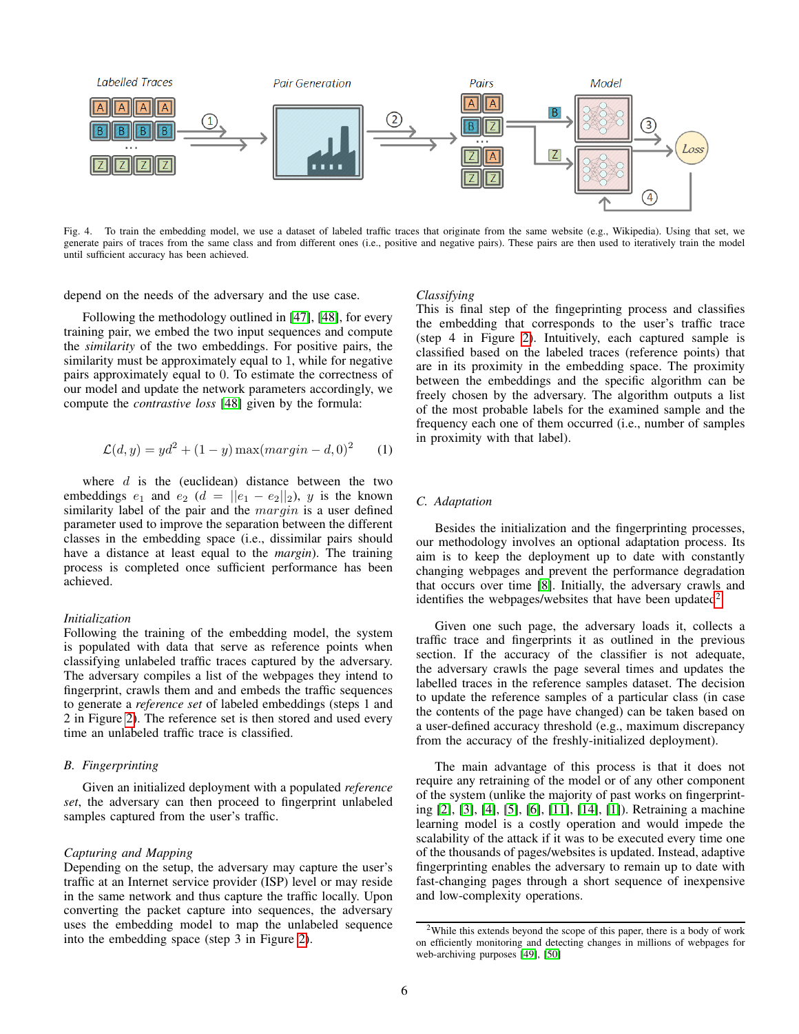

<span id="page-5-0"></span>Fig. 4. To train the embedding model, we use a dataset of labeled traffic traces that originate from the same website (e.g., Wikipedia). Using that set, we generate pairs of traces from the same class and from different ones (i.e., positive and negative pairs). These pairs are then used to iteratively train the model until sufficient accuracy has been achieved.

depend on the needs of the adversary and the use case.

Following the methodology outlined in [\[47\]](#page-12-17), [\[48\]](#page-12-18), for every training pair, we embed the two input sequences and compute the *similarity* of the two embeddings. For positive pairs, the similarity must be approximately equal to 1, while for negative pairs approximately equal to 0. To estimate the correctness of our model and update the network parameters accordingly, we compute the *contrastive loss* [\[48\]](#page-12-18) given by the formula:

$$
\mathcal{L}(d, y) = yd^2 + (1 - y) \max(margin - d, 0)^2
$$
 (1)

where  $d$  is the (euclidean) distance between the two embeddings  $e_1$  and  $e_2$  ( $d = ||e_1 - e_2||_2$ ), y is the known similarity label of the pair and the  $margin$  is a user defined parameter used to improve the separation between the different classes in the embedding space (i.e., dissimilar pairs should have a distance at least equal to the *margin*). The training process is completed once sufficient performance has been achieved.

## *Initialization*

Following the training of the embedding model, the system is populated with data that serve as reference points when classifying unlabeled traffic traces captured by the adversary. The adversary compiles a list of the webpages they intend to fingerprint, crawls them and and embeds the traffic sequences to generate a *reference set* of labeled embeddings (steps 1 and 2 in Figure [2\)](#page-4-0). The reference set is then stored and used every time an unlabeled traffic trace is classified.

## *B. Fingerprinting*

Given an initialized deployment with a populated *reference set*, the adversary can then proceed to fingerprint unlabeled samples captured from the user's traffic.

#### *Capturing and Mapping*

Depending on the setup, the adversary may capture the user's traffic at an Internet service provider (ISP) level or may reside in the same network and thus capture the traffic locally. Upon converting the packet capture into sequences, the adversary uses the embedding model to map the unlabeled sequence into the embedding space (step 3 in Figure [2\)](#page-4-0).

#### *Classifying*

This is final step of the fingeprinting process and classifies the embedding that corresponds to the user's traffic trace (step 4 in Figure [2\)](#page-4-0). Intuitively, each captured sample is classified based on the labeled traces (reference points) that are in its proximity in the embedding space. The proximity between the embeddings and the specific algorithm can be freely chosen by the adversary. The algorithm outputs a list of the most probable labels for the examined sample and the frequency each one of them occurred (i.e., number of samples in proximity with that label).

# <span id="page-5-2"></span>*C. Adaptation*

Besides the initialization and the fingerprinting processes, our methodology involves an optional adaptation process. Its aim is to keep the deployment up to date with constantly changing webpages and prevent the performance degradation that occurs over time [\[8\]](#page-11-7). Initially, the adversary crawls and identifies the webpages/websites that have been updated<sup>[2](#page-5-1)</sup>.

Given one such page, the adversary loads it, collects a traffic trace and fingerprints it as outlined in the previous section. If the accuracy of the classifier is not adequate, the adversary crawls the page several times and updates the labelled traces in the reference samples dataset. The decision to update the reference samples of a particular class (in case the contents of the page have changed) can be taken based on a user-defined accuracy threshold (e.g., maximum discrepancy from the accuracy of the freshly-initialized deployment).

The main advantage of this process is that it does not require any retraining of the model or of any other component of the system (unlike the majority of past works on fingerprinting [\[2\]](#page-11-1), [\[3\]](#page-11-2), [\[4\]](#page-11-3), [\[5\]](#page-11-4), [\[6\]](#page-11-5), [\[11\]](#page-11-10), [\[14\]](#page-11-13), [\[1\]](#page-11-0)). Retraining a machine learning model is a costly operation and would impede the scalability of the attack if it was to be executed every time one of the thousands of pages/websites is updated. Instead, adaptive fingerprinting enables the adversary to remain up to date with fast-changing pages through a short sequence of inexpensive and low-complexity operations.

<span id="page-5-1"></span><sup>2</sup>While this extends beyond the scope of this paper, there is a body of work on efficiently monitoring and detecting changes in millions of webpages for web-archiving purposes [\[49\]](#page-12-19), [\[50\]](#page-12-20)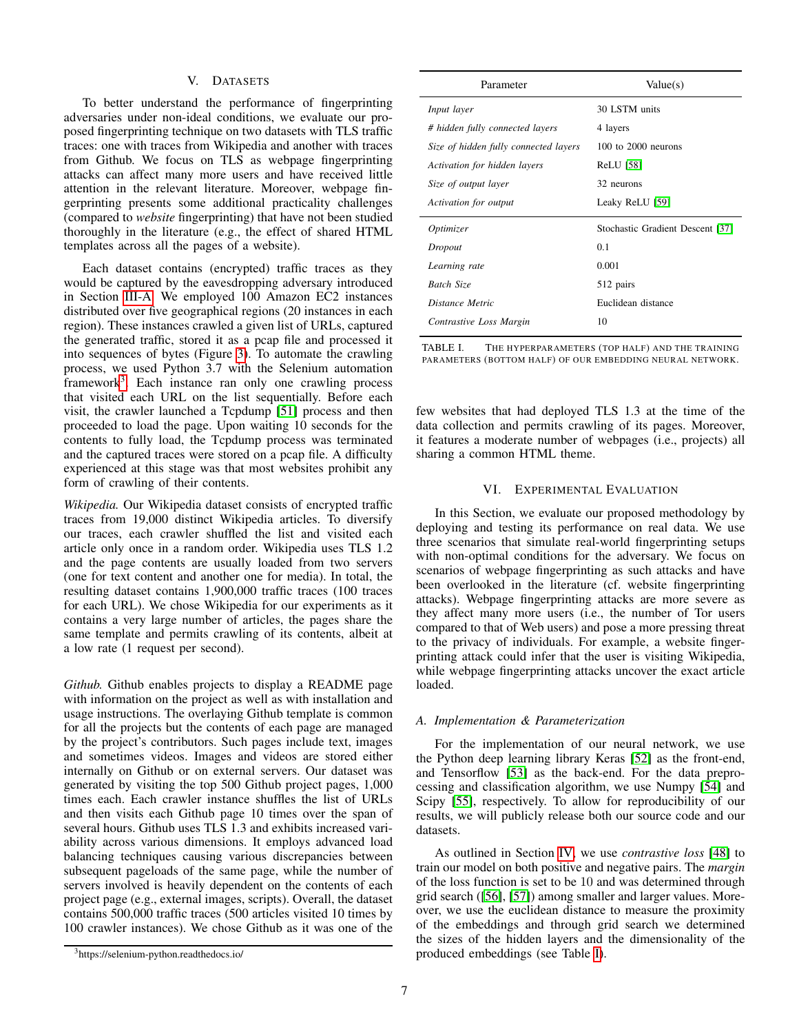#### V. DATASETS

<span id="page-6-2"></span>To better understand the performance of fingerprinting adversaries under non-ideal conditions, we evaluate our proposed fingerprinting technique on two datasets with TLS traffic traces: one with traces from Wikipedia and another with traces from Github. We focus on TLS as webpage fingerprinting attacks can affect many more users and have received little attention in the relevant literature. Moreover, webpage fingerprinting presents some additional practicality challenges (compared to *website* fingerprinting) that have not been studied thoroughly in the literature (e.g., the effect of shared HTML templates across all the pages of a website).

Each dataset contains (encrypted) traffic traces as they would be captured by the eavesdropping adversary introduced in Section [III-A.](#page-2-3) We employed 100 Amazon EC2 instances distributed over five geographical regions (20 instances in each region). These instances crawled a given list of URLs, captured the generated traffic, stored it as a pcap file and processed it into sequences of bytes (Figure [3\)](#page-4-1). To automate the crawling process, we used Python 3.7 with the Selenium automation framework<sup>[3](#page-6-0)</sup>. Each instance ran only one crawling process that visited each URL on the list sequentially. Before each visit, the crawler launched a Tcpdump [\[51\]](#page-12-21) process and then proceeded to load the page. Upon waiting 10 seconds for the contents to fully load, the Tcpdump process was terminated and the captured traces were stored on a pcap file. A difficulty experienced at this stage was that most websites prohibit any form of crawling of their contents.

*Wikipedia.* Our Wikipedia dataset consists of encrypted traffic traces from 19,000 distinct Wikipedia articles. To diversify our traces, each crawler shuffled the list and visited each article only once in a random order. Wikipedia uses TLS 1.2 and the page contents are usually loaded from two servers (one for text content and another one for media). In total, the resulting dataset contains 1,900,000 traffic traces (100 traces for each URL). We chose Wikipedia for our experiments as it contains a very large number of articles, the pages share the same template and permits crawling of its contents, albeit at a low rate (1 request per second).

*Github.* Github enables projects to display a README page with information on the project as well as with installation and usage instructions. The overlaying Github template is common for all the projects but the contents of each page are managed by the project's contributors. Such pages include text, images and sometimes videos. Images and videos are stored either internally on Github or on external servers. Our dataset was generated by visiting the top 500 Github project pages, 1,000 times each. Each crawler instance shuffles the list of URLs and then visits each Github page 10 times over the span of several hours. Github uses TLS 1.3 and exhibits increased variability across various dimensions. It employs advanced load balancing techniques causing various discrepancies between subsequent pageloads of the same page, while the number of servers involved is heavily dependent on the contents of each project page (e.g., external images, scripts). Overall, the dataset contains 500,000 traffic traces (500 articles visited 10 times by 100 crawler instances). We chose Github as it was one of the

| Parameter                             | Value(s)                         |  |
|---------------------------------------|----------------------------------|--|
| Input layer                           | 30 LSTM units                    |  |
| # hidden fully connected layers       | 4 layers                         |  |
| Size of hidden fully connected layers | $100$ to $2000$ neurons          |  |
| Activation for hidden layers          | <b>ReLU</b> [58]                 |  |
| Size of output layer                  | 32 neurons                       |  |
| Activation for output                 | Leaky ReLU [59]                  |  |
| Optimizer                             | Stochastic Gradient Descent [37] |  |
| Dropout                               | 0.1                              |  |
| Learning rate                         | 0.001                            |  |
| <b>Batch Size</b>                     | 512 pairs                        |  |
| Distance Metric                       | Euclidean distance               |  |
| Contrastive Loss Margin               | 10                               |  |

<span id="page-6-1"></span>TABLE I. THE HYPERPARAMETERS (TOP HALF) AND THE TRAINING PARAMETERS (BOTTOM HALF) OF OUR EMBEDDING NEURAL NETWORK.

few websites that had deployed TLS 1.3 at the time of the data collection and permits crawling of its pages. Moreover, it features a moderate number of webpages (i.e., projects) all sharing a common HTML theme.

## VI. EXPERIMENTAL EVALUATION

In this Section, we evaluate our proposed methodology by deploying and testing its performance on real data. We use three scenarios that simulate real-world fingerprinting setups with non-optimal conditions for the adversary. We focus on scenarios of webpage fingerprinting as such attacks and have been overlooked in the literature (cf. website fingerprinting attacks). Webpage fingerprinting attacks are more severe as they affect many more users (i.e., the number of Tor users compared to that of Web users) and pose a more pressing threat to the privacy of individuals. For example, a website fingerprinting attack could infer that the user is visiting Wikipedia, while webpage fingerprinting attacks uncover the exact article loaded.

#### *A. Implementation & Parameterization*

For the implementation of our neural network, we use the Python deep learning library Keras [\[52\]](#page-12-24) as the front-end, and Tensorflow [\[53\]](#page-12-25) as the back-end. For the data preprocessing and classification algorithm, we use Numpy [\[54\]](#page-12-26) and Scipy [\[55\]](#page-12-27), respectively. To allow for reproducibility of our results, we will publicly release both our source code and our datasets.

As outlined in Section [IV,](#page-3-0) we use *contrastive loss* [\[48\]](#page-12-18) to train our model on both positive and negative pairs. The *margin* of the loss function is set to be 10 and was determined through grid search ([\[56\]](#page-12-28), [\[57\]](#page-12-29)) among smaller and larger values. Moreover, we use the euclidean distance to measure the proximity of the embeddings and through grid search we determined the sizes of the hidden layers and the dimensionality of the produced embeddings (see Table [I\)](#page-6-1).

<span id="page-6-0"></span><sup>3</sup>https://selenium-python.readthedocs.io/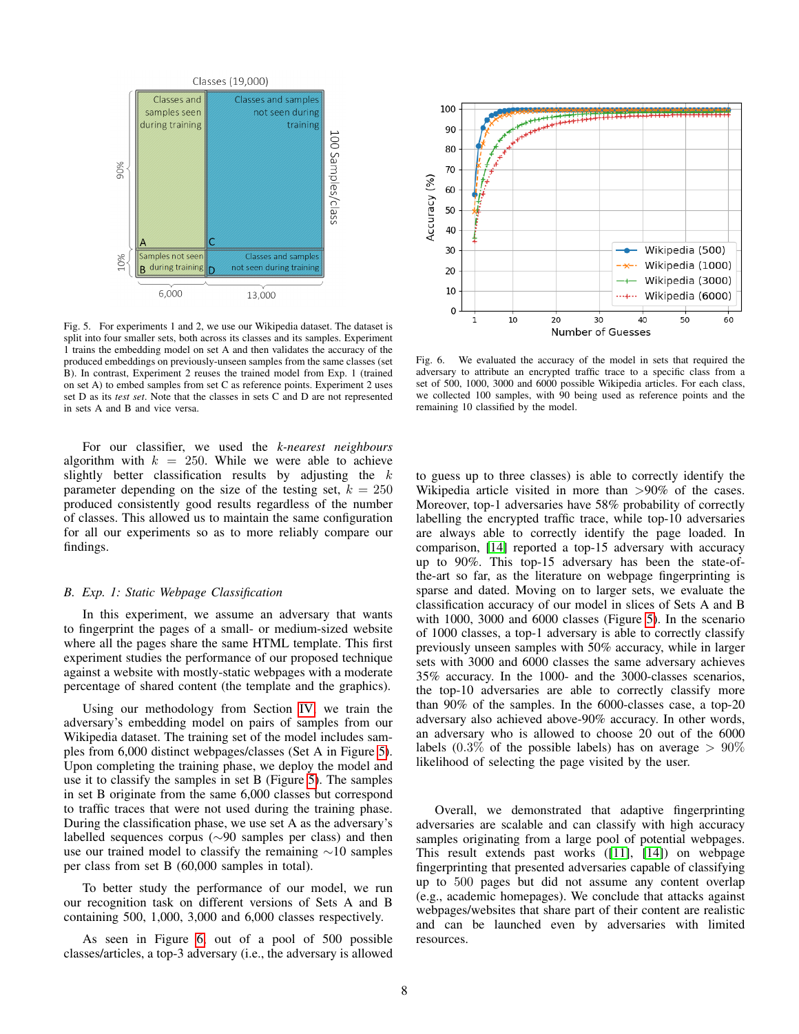

<span id="page-7-0"></span>Fig. 5. For experiments 1 and 2, we use our Wikipedia dataset. The dataset is split into four smaller sets, both across its classes and its samples. Experiment 1 trains the embedding model on set A and then validates the accuracy of the produced embeddings on previously-unseen samples from the same classes (set B). In contrast, Experiment 2 reuses the trained model from Exp. 1 (trained on set A) to embed samples from set C as reference points. Experiment 2 uses set D as its *test set*. Note that the classes in sets C and D are not represented in sets A and B and vice versa.

For our classifier, we used the *k-nearest neighbours* algorithm with  $k = 250$ . While we were able to achieve slightly better classification results by adjusting the  $k$ parameter depending on the size of the testing set,  $k = 250$ produced consistently good results regardless of the number of classes. This allowed us to maintain the same configuration for all our experiments so as to more reliably compare our findings.

#### *B. Exp. 1: Static Webpage Classification*

In this experiment, we assume an adversary that wants to fingerprint the pages of a small- or medium-sized website where all the pages share the same HTML template. This first experiment studies the performance of our proposed technique against a website with mostly-static webpages with a moderate percentage of shared content (the template and the graphics).

Using our methodology from Section [IV,](#page-3-0) we train the adversary's embedding model on pairs of samples from our Wikipedia dataset. The training set of the model includes samples from 6,000 distinct webpages/classes (Set A in Figure [5\)](#page-7-0). Upon completing the training phase, we deploy the model and use it to classify the samples in set B (Figure [5\)](#page-7-0). The samples in set B originate from the same 6,000 classes but correspond to traffic traces that were not used during the training phase. During the classification phase, we use set A as the adversary's labelled sequences corpus (∼90 samples per class) and then use our trained model to classify the remaining ∼10 samples per class from set B (60,000 samples in total).

To better study the performance of our model, we run our recognition task on different versions of Sets A and B containing 500, 1,000, 3,000 and 6,000 classes respectively.

As seen in Figure [6,](#page-7-1) out of a pool of 500 possible classes/articles, a top-3 adversary (i.e., the adversary is allowed



<span id="page-7-1"></span>Fig. 6. We evaluated the accuracy of the model in sets that required the adversary to attribute an encrypted traffic trace to a specific class from a set of 500, 1000, 3000 and 6000 possible Wikipedia articles. For each class, we collected 100 samples, with 90 being used as reference points and the remaining 10 classified by the model.

to guess up to three classes) is able to correctly identify the Wikipedia article visited in more than  $>90\%$  of the cases. Moreover, top-1 adversaries have 58% probability of correctly labelling the encrypted traffic trace, while top-10 adversaries are always able to correctly identify the page loaded. In comparison, [\[14\]](#page-11-13) reported a top-15 adversary with accuracy up to 90%. This top-15 adversary has been the state-ofthe-art so far, as the literature on webpage fingerprinting is sparse and dated. Moving on to larger sets, we evaluate the classification accuracy of our model in slices of Sets A and B with 1000, 3000 and 6000 classes (Figure [5\)](#page-7-0). In the scenario of 1000 classes, a top-1 adversary is able to correctly classify previously unseen samples with 50% accuracy, while in larger sets with 3000 and 6000 classes the same adversary achieves 35% accuracy. In the 1000- and the 3000-classes scenarios, the top-10 adversaries are able to correctly classify more than 90% of the samples. In the 6000-classes case, a top-20 adversary also achieved above-90% accuracy. In other words, an adversary who is allowed to choose 20 out of the 6000 labels (0.3% of the possible labels) has on average  $> 90\%$ likelihood of selecting the page visited by the user.

Overall, we demonstrated that adaptive fingerprinting adversaries are scalable and can classify with high accuracy samples originating from a large pool of potential webpages. This result extends past works ([\[11\]](#page-11-10), [\[14\]](#page-11-13)) on webpage fingerprinting that presented adversaries capable of classifying up to 500 pages but did not assume any content overlap (e.g., academic homepages). We conclude that attacks against webpages/websites that share part of their content are realistic and can be launched even by adversaries with limited resources.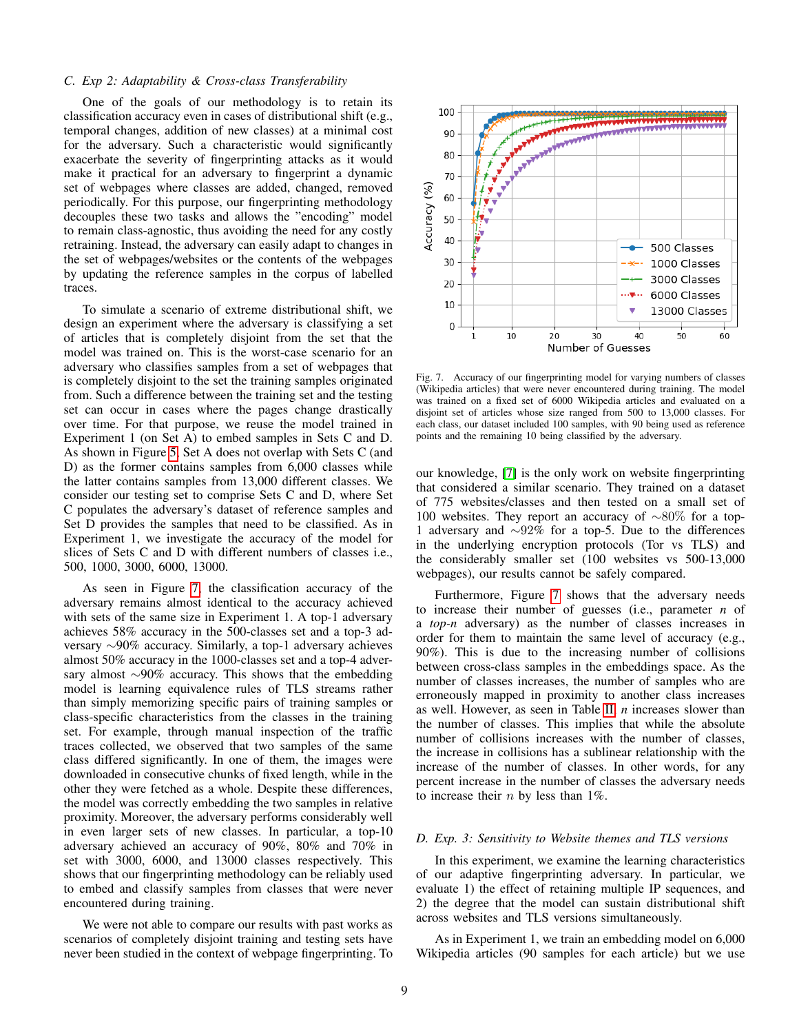## *C. Exp 2: Adaptability & Cross-class Transferability*

One of the goals of our methodology is to retain its classification accuracy even in cases of distributional shift (e.g., temporal changes, addition of new classes) at a minimal cost for the adversary. Such a characteristic would significantly exacerbate the severity of fingerprinting attacks as it would make it practical for an adversary to fingerprint a dynamic set of webpages where classes are added, changed, removed periodically. For this purpose, our fingerprinting methodology decouples these two tasks and allows the "encoding" model to remain class-agnostic, thus avoiding the need for any costly retraining. Instead, the adversary can easily adapt to changes in the set of webpages/websites or the contents of the webpages by updating the reference samples in the corpus of labelled traces.

To simulate a scenario of extreme distributional shift, we design an experiment where the adversary is classifying a set of articles that is completely disjoint from the set that the model was trained on. This is the worst-case scenario for an adversary who classifies samples from a set of webpages that is completely disjoint to the set the training samples originated from. Such a difference between the training set and the testing set can occur in cases where the pages change drastically over time. For that purpose, we reuse the model trained in Experiment 1 (on Set A) to embed samples in Sets C and D. As shown in Figure [5,](#page-7-0) Set A does not overlap with Sets C (and D) as the former contains samples from 6,000 classes while the latter contains samples from 13,000 different classes. We consider our testing set to comprise Sets C and D, where Set C populates the adversary's dataset of reference samples and Set D provides the samples that need to be classified. As in Experiment 1, we investigate the accuracy of the model for slices of Sets C and D with different numbers of classes i.e., 500, 1000, 3000, 6000, 13000.

As seen in Figure [7,](#page-8-0) the classification accuracy of the adversary remains almost identical to the accuracy achieved with sets of the same size in Experiment 1. A top-1 adversary achieves 58% accuracy in the 500-classes set and a top-3 adversary ∼90% accuracy. Similarly, a top-1 adversary achieves almost 50% accuracy in the 1000-classes set and a top-4 adversary almost ∼90% accuracy. This shows that the embedding model is learning equivalence rules of TLS streams rather than simply memorizing specific pairs of training samples or class-specific characteristics from the classes in the training set. For example, through manual inspection of the traffic traces collected, we observed that two samples of the same class differed significantly. In one of them, the images were downloaded in consecutive chunks of fixed length, while in the other they were fetched as a whole. Despite these differences, the model was correctly embedding the two samples in relative proximity. Moreover, the adversary performs considerably well in even larger sets of new classes. In particular, a top-10 adversary achieved an accuracy of 90%, 80% and 70% in set with 3000, 6000, and 13000 classes respectively. This shows that our fingerprinting methodology can be reliably used to embed and classify samples from classes that were never encountered during training.

We were not able to compare our results with past works as scenarios of completely disjoint training and testing sets have never been studied in the context of webpage fingerprinting. To



<span id="page-8-0"></span>Fig. 7. Accuracy of our fingerprinting model for varying numbers of classes (Wikipedia articles) that were never encountered during training. The model was trained on a fixed set of 6000 Wikipedia articles and evaluated on a disjoint set of articles whose size ranged from 500 to 13,000 classes. For each class, our dataset included 100 samples, with 90 being used as reference points and the remaining 10 being classified by the adversary.

our knowledge, [\[7\]](#page-11-6) is the only work on website fingerprinting that considered a similar scenario. They trained on a dataset of 775 websites/classes and then tested on a small set of 100 websites. They report an accuracy of ∼80% for a top-1 adversary and ∼92% for a top-5. Due to the differences in the underlying encryption protocols (Tor vs TLS) and the considerably smaller set (100 websites vs 500-13,000 webpages), our results cannot be safely compared.

Furthermore, Figure [7](#page-8-0) shows that the adversary needs to increase their number of guesses (i.e., parameter *n* of a *top-n* adversary) as the number of classes increases in order for them to maintain the same level of accuracy (e.g., 90%). This is due to the increasing number of collisions between cross-class samples in the embeddings space. As the number of classes increases, the number of samples who are erroneously mapped in proximity to another class increases as well. However, as seen in Table [II,](#page-9-0) *n* increases slower than the number of classes. This implies that while the absolute number of collisions increases with the number of classes, the increase in collisions has a sublinear relationship with the increase of the number of classes. In other words, for any percent increase in the number of classes the adversary needs to increase their  $n$  by less than 1%.

#### *D. Exp. 3: Sensitivity to Website themes and TLS versions*

In this experiment, we examine the learning characteristics of our adaptive fingerprinting adversary. In particular, we evaluate 1) the effect of retaining multiple IP sequences, and 2) the degree that the model can sustain distributional shift across websites and TLS versions simultaneously.

As in Experiment 1, we train an embedding model on 6,000 Wikipedia articles (90 samples for each article) but we use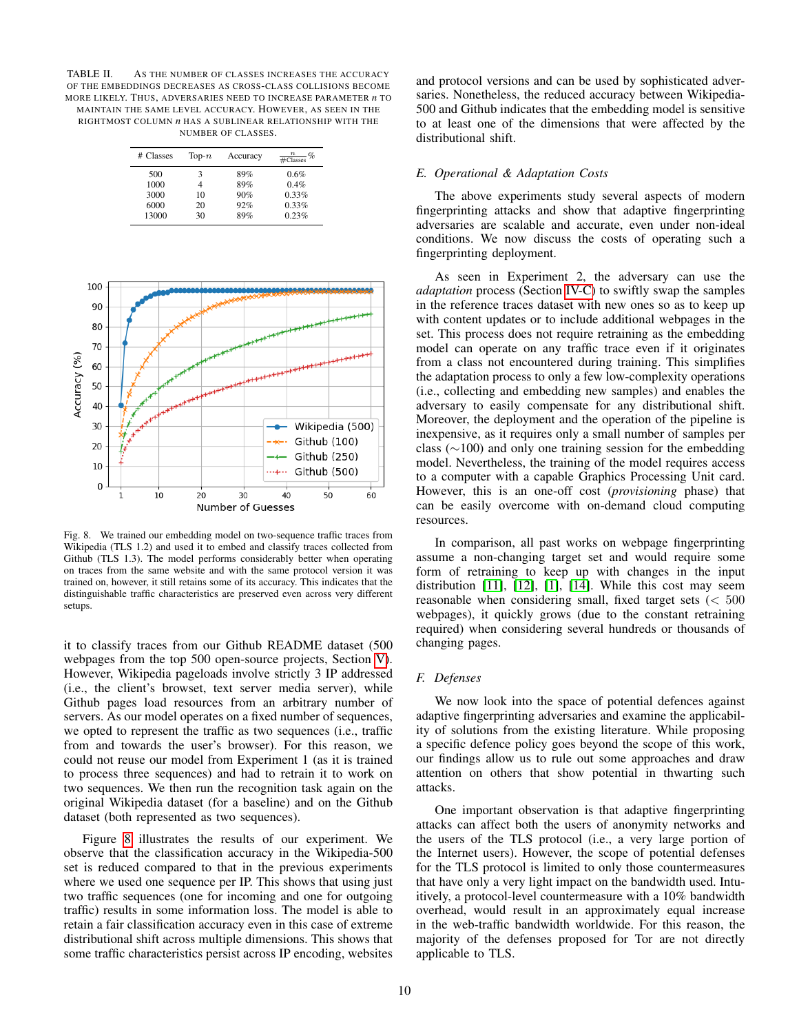<span id="page-9-0"></span>TABLE II. AS THE NUMBER OF CLASSES INCREASES THE ACCURACY OF THE EMBEDDINGS DECREASES AS CROSS-CLASS COLLISIONS BECOME MORE LIKELY. THUS, ADVERSARIES NEED TO INCREASE PARAMETER *n* TO MAINTAIN THE SAME LEVEL ACCURACY. HOWEVER, AS SEEN IN THE RIGHTMOST COLUMN *n* HAS A SUBLINEAR RELATIONSHIP WITH THE NUMBER OF CLASSES.

| # Classes | $Top-n$ | Accuracy | $\frac{n}{\text{\#Classes}}$ % |
|-----------|---------|----------|--------------------------------|
| 500       | 3       | 89%      | 0.6%                           |
| 1000      |         | 89%      | 0.4%                           |
| 3000      | 10      | 90%      | 0.33%                          |
| 6000      | 20      | 92%      | 0.33%                          |
| 13000     | 30      | 89%      | 0.23%                          |



<span id="page-9-1"></span>Fig. 8. We trained our embedding model on two-sequence traffic traces from Wikipedia (TLS 1.2) and used it to embed and classify traces collected from Github (TLS 1.3). The model performs considerably better when operating on traces from the same website and with the same protocol version it was trained on, however, it still retains some of its accuracy. This indicates that the distinguishable traffic characteristics are preserved even across very different setups.

it to classify traces from our Github README dataset (500 webpages from the top 500 open-source projects, Section [V\)](#page-6-2). However, Wikipedia pageloads involve strictly 3 IP addressed (i.e., the client's browset, text server media server), while Github pages load resources from an arbitrary number of servers. As our model operates on a fixed number of sequences, we opted to represent the traffic as two sequences (i.e., traffic from and towards the user's browser). For this reason, we could not reuse our model from Experiment 1 (as it is trained to process three sequences) and had to retrain it to work on two sequences. We then run the recognition task again on the original Wikipedia dataset (for a baseline) and on the Github dataset (both represented as two sequences).

Figure [8](#page-9-1) illustrates the results of our experiment. We observe that the classification accuracy in the Wikipedia-500 set is reduced compared to that in the previous experiments where we used one sequence per IP. This shows that using just two traffic sequences (one for incoming and one for outgoing traffic) results in some information loss. The model is able to retain a fair classification accuracy even in this case of extreme distributional shift across multiple dimensions. This shows that some traffic characteristics persist across IP encoding, websites and protocol versions and can be used by sophisticated adversaries. Nonetheless, the reduced accuracy between Wikipedia-500 and Github indicates that the embedding model is sensitive to at least one of the dimensions that were affected by the distributional shift.

## *E. Operational & Adaptation Costs*

The above experiments study several aspects of modern fingerprinting attacks and show that adaptive fingerprinting adversaries are scalable and accurate, even under non-ideal conditions. We now discuss the costs of operating such a fingerprinting deployment.

As seen in Experiment 2, the adversary can use the *adaptation* process (Section [IV-C\)](#page-5-2) to swiftly swap the samples in the reference traces dataset with new ones so as to keep up with content updates or to include additional webpages in the set. This process does not require retraining as the embedding model can operate on any traffic trace even if it originates from a class not encountered during training. This simplifies the adaptation process to only a few low-complexity operations (i.e., collecting and embedding new samples) and enables the adversary to easily compensate for any distributional shift. Moreover, the deployment and the operation of the pipeline is inexpensive, as it requires only a small number of samples per class (∼100) and only one training session for the embedding model. Nevertheless, the training of the model requires access to a computer with a capable Graphics Processing Unit card. However, this is an one-off cost (*provisioning* phase) that can be easily overcome with on-demand cloud computing resources.

In comparison, all past works on webpage fingerprinting assume a non-changing target set and would require some form of retraining to keep up with changes in the input distribution [\[11\]](#page-11-10), [\[12\]](#page-11-11), [\[1\]](#page-11-0), [\[14\]](#page-11-13). While this cost may seem reasonable when considering small, fixed target sets  $\langle \, 500 \rangle$ webpages), it quickly grows (due to the constant retraining required) when considering several hundreds or thousands of changing pages.

#### *F. Defenses*

We now look into the space of potential defences against adaptive fingerprinting adversaries and examine the applicability of solutions from the existing literature. While proposing a specific defence policy goes beyond the scope of this work, our findings allow us to rule out some approaches and draw attention on others that show potential in thwarting such attacks.

One important observation is that adaptive fingerprinting attacks can affect both the users of anonymity networks and the users of the TLS protocol (i.e., a very large portion of the Internet users). However, the scope of potential defenses for the TLS protocol is limited to only those countermeasures that have only a very light impact on the bandwidth used. Intuitively, a protocol-level countermeasure with a 10% bandwidth overhead, would result in an approximately equal increase in the web-traffic bandwidth worldwide. For this reason, the majority of the defenses proposed for Tor are not directly applicable to TLS.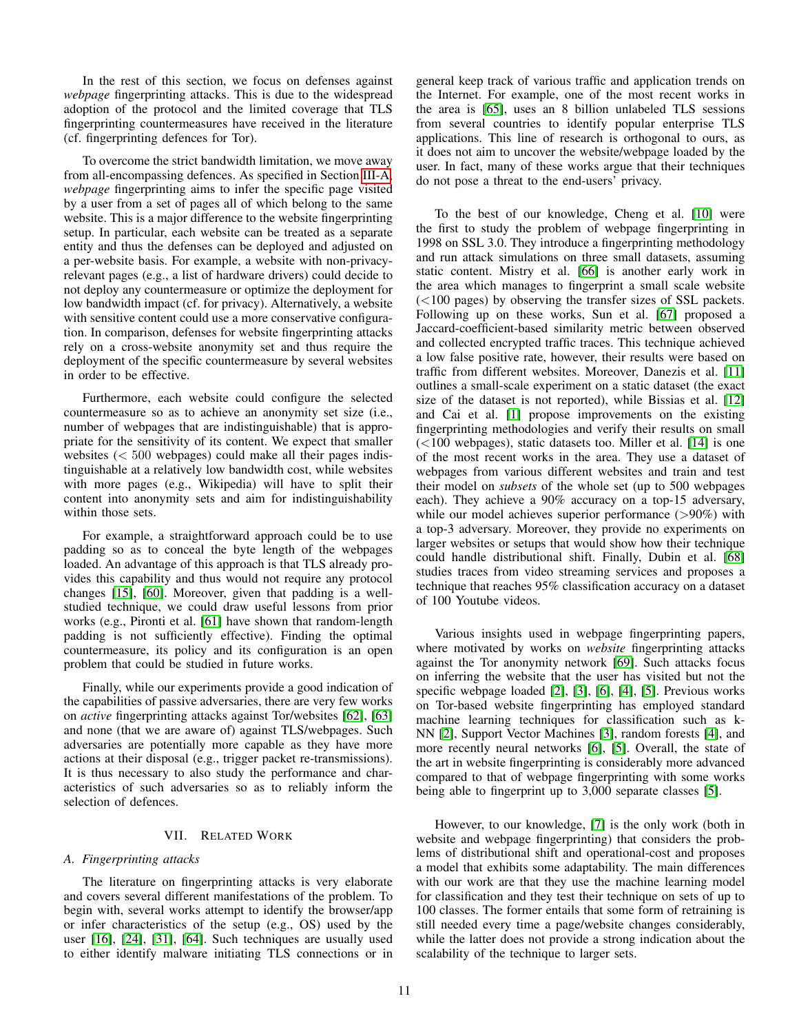In the rest of this section, we focus on defenses against *webpage* fingerprinting attacks. This is due to the widespread adoption of the protocol and the limited coverage that TLS fingerprinting countermeasures have received in the literature (cf. fingerprinting defences for Tor).

To overcome the strict bandwidth limitation, we move away from all-encompassing defences. As specified in Section [III-A,](#page-2-3) *webpage* fingerprinting aims to infer the specific page visited by a user from a set of pages all of which belong to the same website. This is a major difference to the website fingerprinting setup. In particular, each website can be treated as a separate entity and thus the defenses can be deployed and adjusted on a per-website basis. For example, a website with non-privacyrelevant pages (e.g., a list of hardware drivers) could decide to not deploy any countermeasure or optimize the deployment for low bandwidth impact (cf. for privacy). Alternatively, a website with sensitive content could use a more conservative configuration. In comparison, defenses for website fingerprinting attacks rely on a cross-website anonymity set and thus require the deployment of the specific countermeasure by several websites in order to be effective.

Furthermore, each website could configure the selected countermeasure so as to achieve an anonymity set size (i.e., number of webpages that are indistinguishable) that is appropriate for the sensitivity of its content. We expect that smaller websites  $( $500$  webpages) could make all their pages indis$ tinguishable at a relatively low bandwidth cost, while websites with more pages (e.g., Wikipedia) will have to split their content into anonymity sets and aim for indistinguishability within those sets.

For example, a straightforward approach could be to use padding so as to conceal the byte length of the webpages loaded. An advantage of this approach is that TLS already provides this capability and thus would not require any protocol changes [\[15\]](#page-11-14), [\[60\]](#page-12-30). Moreover, given that padding is a wellstudied technique, we could draw useful lessons from prior works (e.g., Pironti et al. [\[61\]](#page-12-31) have shown that random-length padding is not sufficiently effective). Finding the optimal countermeasure, its policy and its configuration is an open problem that could be studied in future works.

Finally, while our experiments provide a good indication of the capabilities of passive adversaries, there are very few works on *active* fingerprinting attacks against Tor/websites [\[62\]](#page-12-32), [\[63\]](#page-12-33) and none (that we are aware of) against TLS/webpages. Such adversaries are potentially more capable as they have more actions at their disposal (e.g., trigger packet re-transmissions). It is thus necessary to also study the performance and characteristics of such adversaries so as to reliably inform the selection of defences.

## VII. RELATED WORK

# *A. Fingerprinting attacks*

The literature on fingerprinting attacks is very elaborate and covers several different manifestations of the problem. To begin with, several works attempt to identify the browser/app or infer characteristics of the setup (e.g., OS) used by the user [\[16\]](#page-11-15), [\[24\]](#page-11-23), [\[31\]](#page-12-1), [\[64\]](#page-12-34). Such techniques are usually used to either identify malware initiating TLS connections or in general keep track of various traffic and application trends on the Internet. For example, one of the most recent works in the area is [\[65\]](#page-12-35), uses an 8 billion unlabeled TLS sessions from several countries to identify popular enterprise TLS applications. This line of research is orthogonal to ours, as it does not aim to uncover the website/webpage loaded by the user. In fact, many of these works argue that their techniques do not pose a threat to the end-users' privacy.

To the best of our knowledge, Cheng et al. [\[10\]](#page-11-9) were the first to study the problem of webpage fingerprinting in 1998 on SSL 3.0. They introduce a fingerprinting methodology and run attack simulations on three small datasets, assuming static content. Mistry et al. [\[66\]](#page-12-36) is another early work in the area which manages to fingerprint a small scale website (<100 pages) by observing the transfer sizes of SSL packets. Following up on these works, Sun et al. [\[67\]](#page-12-37) proposed a Jaccard-coefficient-based similarity metric between observed and collected encrypted traffic traces. This technique achieved a low false positive rate, however, their results were based on traffic from different websites. Moreover, Danezis et al. [\[11\]](#page-11-10) outlines a small-scale experiment on a static dataset (the exact size of the dataset is not reported), while Bissias et al. [\[12\]](#page-11-11) and Cai et al. [\[1\]](#page-11-0) propose improvements on the existing fingerprinting methodologies and verify their results on small (<100 webpages), static datasets too. Miller et al. [\[14\]](#page-11-13) is one of the most recent works in the area. They use a dataset of webpages from various different websites and train and test their model on *subsets* of the whole set (up to 500 webpages each). They achieve a 90% accuracy on a top-15 adversary, while our model achieves superior performance (>90%) with a top-3 adversary. Moreover, they provide no experiments on larger websites or setups that would show how their technique could handle distributional shift. Finally, Dubin et al. [\[68\]](#page-12-38) studies traces from video streaming services and proposes a technique that reaches 95% classification accuracy on a dataset of 100 Youtube videos.

Various insights used in webpage fingerprinting papers, where motivated by works on *website* fingerprinting attacks against the Tor anonymity network [\[69\]](#page-12-39). Such attacks focus on inferring the website that the user has visited but not the specific webpage loaded [\[2\]](#page-11-1), [\[3\]](#page-11-2), [\[6\]](#page-11-5), [\[4\]](#page-11-3), [\[5\]](#page-11-4). Previous works on Tor-based website fingerprinting has employed standard machine learning techniques for classification such as k-NN [\[2\]](#page-11-1), Support Vector Machines [\[3\]](#page-11-2), random forests [\[4\]](#page-11-3), and more recently neural networks [\[6\]](#page-11-5), [\[5\]](#page-11-4). Overall, the state of the art in website fingerprinting is considerably more advanced compared to that of webpage fingerprinting with some works being able to fingerprint up to 3,000 separate classes [\[5\]](#page-11-4).

However, to our knowledge, [\[7\]](#page-11-6) is the only work (both in website and webpage fingerprinting) that considers the problems of distributional shift and operational-cost and proposes a model that exhibits some adaptability. The main differences with our work are that they use the machine learning model for classification and they test their technique on sets of up to 100 classes. The former entails that some form of retraining is still needed every time a page/website changes considerably, while the latter does not provide a strong indication about the scalability of the technique to larger sets.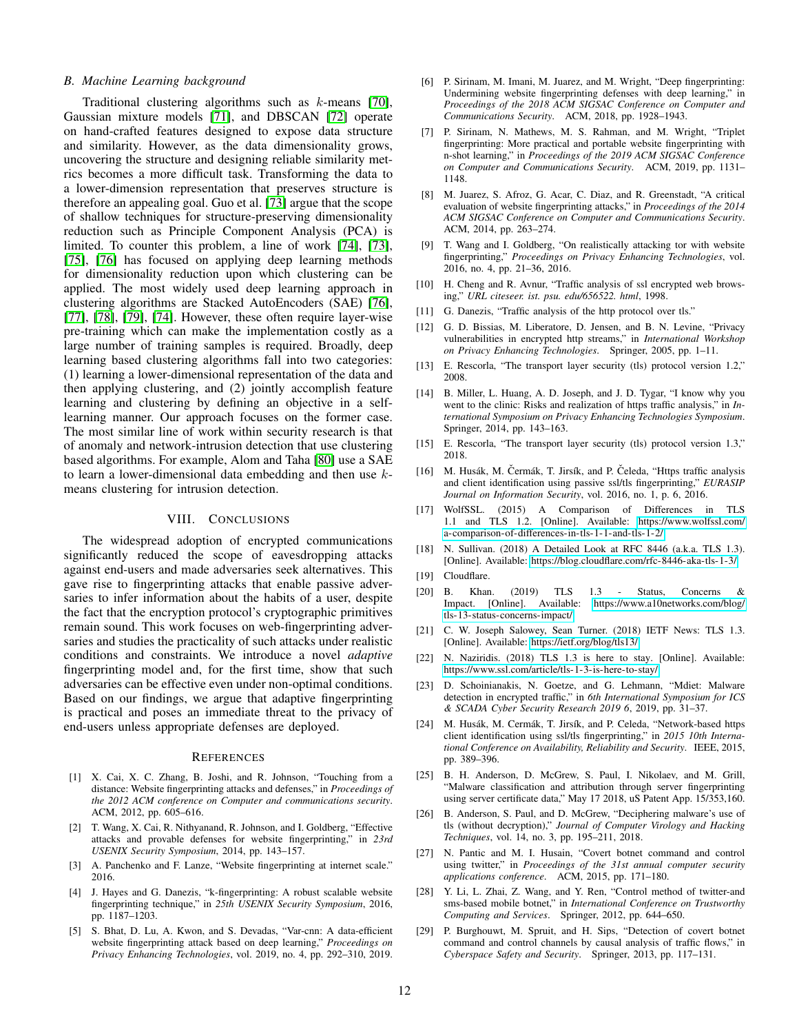#### *B. Machine Learning background*

Traditional clustering algorithms such as k-means [\[70\]](#page-12-40), Gaussian mixture models [\[71\]](#page-12-41), and DBSCAN [\[72\]](#page-12-42) operate on hand-crafted features designed to expose data structure and similarity. However, as the data dimensionality grows, uncovering the structure and designing reliable similarity metrics becomes a more difficult task. Transforming the data to a lower-dimension representation that preserves structure is therefore an appealing goal. Guo et al. [\[73\]](#page-13-0) argue that the scope of shallow techniques for structure-preserving dimensionality reduction such as Principle Component Analysis (PCA) is limited. To counter this problem, a line of work [\[74\]](#page-13-1), [\[73\]](#page-13-0), [\[75\]](#page-13-2), [\[76\]](#page-13-3) has focused on applying deep learning methods for dimensionality reduction upon which clustering can be applied. The most widely used deep learning approach in clustering algorithms are Stacked AutoEncoders (SAE) [\[76\]](#page-13-3), [\[77\]](#page-13-4), [\[78\]](#page-13-5), [\[79\]](#page-13-6), [\[74\]](#page-13-1). However, these often require layer-wise pre-training which can make the implementation costly as a large number of training samples is required. Broadly, deep learning based clustering algorithms fall into two categories: (1) learning a lower-dimensional representation of the data and then applying clustering, and (2) jointly accomplish feature learning and clustering by defining an objective in a selflearning manner. Our approach focuses on the former case. The most similar line of work within security research is that of anomaly and network-intrusion detection that use clustering based algorithms. For example, Alom and Taha [\[80\]](#page-13-7) use a SAE to learn a lower-dimensional data embedding and then use kmeans clustering for intrusion detection.

## VIII. CONCLUSIONS

The widespread adoption of encrypted communications significantly reduced the scope of eavesdropping attacks against end-users and made adversaries seek alternatives. This gave rise to fingerprinting attacks that enable passive adversaries to infer information about the habits of a user, despite the fact that the encryption protocol's cryptographic primitives remain sound. This work focuses on web-fingerprinting adversaries and studies the practicality of such attacks under realistic conditions and constraints. We introduce a novel *adaptive* fingerprinting model and, for the first time, show that such adversaries can be effective even under non-optimal conditions. Based on our findings, we argue that adaptive fingerprinting is practical and poses an immediate threat to the privacy of end-users unless appropriate defenses are deployed.

#### **REFERENCES**

- <span id="page-11-0"></span>[1] X. Cai, X. C. Zhang, B. Joshi, and R. Johnson, "Touching from a distance: Website fingerprinting attacks and defenses," in *Proceedings of the 2012 ACM conference on Computer and communications security*. ACM, 2012, pp. 605–616.
- <span id="page-11-1"></span>[2] T. Wang, X. Cai, R. Nithyanand, R. Johnson, and I. Goldberg, "Effective attacks and provable defenses for website fingerprinting," in *23rd USENIX Security Symposium*, 2014, pp. 143–157.
- <span id="page-11-2"></span>[3] A. Panchenko and F. Lanze, "Website fingerprinting at internet scale." 2016.
- <span id="page-11-3"></span>[4] J. Hayes and G. Danezis, "k-fingerprinting: A robust scalable website fingerprinting technique," in *25th USENIX Security Symposium*, 2016, pp. 1187–1203.
- <span id="page-11-4"></span>[5] S. Bhat, D. Lu, A. Kwon, and S. Devadas, "Var-cnn: A data-efficient website fingerprinting attack based on deep learning," *Proceedings on Privacy Enhancing Technologies*, vol. 2019, no. 4, pp. 292–310, 2019.
- <span id="page-11-5"></span>[6] P. Sirinam, M. Imani, M. Juarez, and M. Wright, "Deep fingerprinting: Undermining website fingerprinting defenses with deep learning," in *Proceedings of the 2018 ACM SIGSAC Conference on Computer and Communications Security*. ACM, 2018, pp. 1928–1943.
- <span id="page-11-6"></span>[7] P. Sirinam, N. Mathews, M. S. Rahman, and M. Wright, "Triplet fingerprinting: More practical and portable website fingerprinting with n-shot learning," in *Proceedings of the 2019 ACM SIGSAC Conference on Computer and Communications Security*. ACM, 2019, pp. 1131– 1148.
- <span id="page-11-7"></span>[8] M. Juarez, S. Afroz, G. Acar, C. Diaz, and R. Greenstadt, "A critical evaluation of website fingerprinting attacks," in *Proceedings of the 2014 ACM SIGSAC Conference on Computer and Communications Security*. ACM, 2014, pp. 263–274.
- <span id="page-11-8"></span>[9] T. Wang and I. Goldberg, "On realistically attacking tor with website fingerprinting," *Proceedings on Privacy Enhancing Technologies*, vol. 2016, no. 4, pp. 21–36, 2016.
- <span id="page-11-9"></span>[10] H. Cheng and R. Avnur, "Traffic analysis of ssl encrypted web browsing," *URL citeseer. ist. psu. edu/656522. html*, 1998.
- <span id="page-11-10"></span>[11] G. Danezis, "Traffic analysis of the http protocol over tls."
- <span id="page-11-11"></span>[12] G. D. Bissias, M. Liberatore, D. Jensen, and B. N. Levine, "Privacy vulnerabilities in encrypted http streams," in *International Workshop on Privacy Enhancing Technologies*. Springer, 2005, pp. 1–11.
- <span id="page-11-12"></span>[13] E. Rescorla, "The transport layer security (tls) protocol version 1.2," 2008.
- <span id="page-11-13"></span>[14] B. Miller, L. Huang, A. D. Joseph, and J. D. Tygar, "I know why you went to the clinic: Risks and realization of https traffic analysis," in *International Symposium on Privacy Enhancing Technologies Symposium*. Springer, 2014, pp. 143–163.
- <span id="page-11-14"></span>[15] E. Rescorla, "The transport layer security (tls) protocol version 1.3," 2018.
- <span id="page-11-15"></span>[16] M. Husák, M. Čermák, T. Jirsík, and P. Čeleda, "Https traffic analysis and client identification using passive ssl/tls fingerprinting," *EURASIP Journal on Information Security*, vol. 2016, no. 1, p. 6, 2016.
- <span id="page-11-16"></span>[17] WolfSSL. (2015) A Comparison of Differences in TLS 1.1 and TLS 1.2. [Online]. Available: [https://www.wolfssl.com/](https://www.wolfssl.com/a-comparison-of-differences-in-tls-1-1-and-tls-1-2/) [a-comparison-of-differences-in-tls-1-1-and-tls-1-2/](https://www.wolfssl.com/a-comparison-of-differences-in-tls-1-1-and-tls-1-2/)
- <span id="page-11-17"></span>[18] N. Sullivan. (2018) A Detailed Look at RFC 8446 (a.k.a. TLS 1.3). [Online]. Available:<https://blog.cloudflare.com/rfc-8446-aka-tls-1-3/>
- <span id="page-11-18"></span>[19] Cloudflare.
- <span id="page-11-19"></span>[20] B. Khan. (2019) TLS 1.3 - Status, Concerns & Impact. [Online]. Available: [https://www.a10networks.com/blog/](https://www.a10networks.com/blog/tls-13-status-concerns-impact/) [tls-13-status-concerns-impact/](https://www.a10networks.com/blog/tls-13-status-concerns-impact/)
- <span id="page-11-20"></span>[21] C. W. Joseph Salowey, Sean Turner. (2018) IETF News: TLS 1.3. [Online]. Available:<https://ietf.org/blog/tls13/>
- <span id="page-11-21"></span>[22] N. Naziridis. (2018) TLS 1.3 is here to stay. [Online]. Available: <https://www.ssl.com/article/tls-1-3-is-here-to-stay/>
- <span id="page-11-22"></span>[23] D. Schoinianakis, N. Goetze, and G. Lehmann, "Mdiet: Malware detection in encrypted traffic," in *6th International Symposium for ICS & SCADA Cyber Security Research 2019 6*, 2019, pp. 31–37.
- <span id="page-11-23"></span>[24] M. Husák, M. Cermák, T. Jirsík, and P. Celeda, "Network-based https client identification using ssl/tls fingerprinting," in *2015 10th International Conference on Availability, Reliability and Security*. IEEE, 2015, pp. 389–396.
- <span id="page-11-24"></span>[25] B. H. Anderson, D. McGrew, S. Paul, I. Nikolaev, and M. Grill, "Malware classification and attribution through server fingerprinting using server certificate data," May 17 2018, uS Patent App. 15/353,160.
- <span id="page-11-25"></span>[26] B. Anderson, S. Paul, and D. McGrew, "Deciphering malware's use of tls (without decryption)," *Journal of Computer Virology and Hacking Techniques*, vol. 14, no. 3, pp. 195–211, 2018.
- <span id="page-11-26"></span>[27] N. Pantic and M. I. Husain, "Covert botnet command and control using twitter," in *Proceedings of the 31st annual computer security applications conference*. ACM, 2015, pp. 171–180.
- <span id="page-11-27"></span>[28] Y. Li, L. Zhai, Z. Wang, and Y. Ren, "Control method of twitter-and sms-based mobile botnet," in *International Conference on Trustworthy Computing and Services*. Springer, 2012, pp. 644–650.
- <span id="page-11-28"></span>[29] P. Burghouwt, M. Spruit, and H. Sips, "Detection of covert botnet command and control channels by causal analysis of traffic flows," in *Cyberspace Safety and Security*. Springer, 2013, pp. 117–131.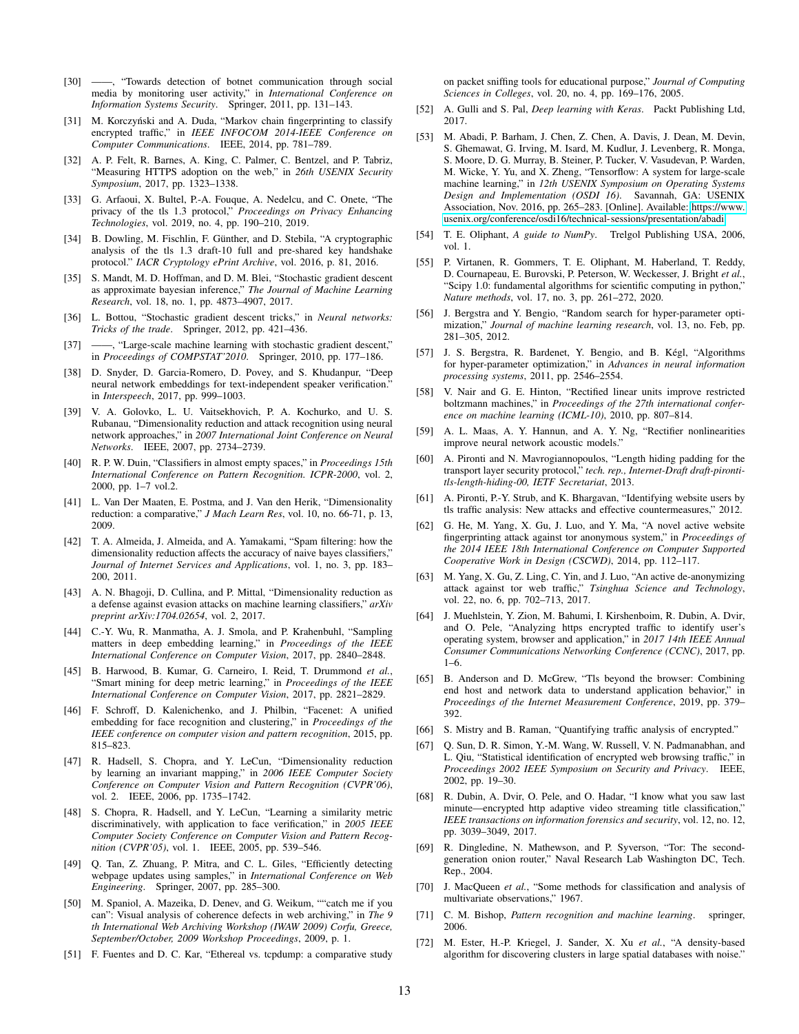- <span id="page-12-0"></span>[30] ——, "Towards detection of botnet communication through social media by monitoring user activity," in *International Conference on Information Systems Security*. Springer, 2011, pp. 131–143.
- <span id="page-12-1"></span>[31] M. Korczyński and A. Duda, "Markov chain fingerprinting to classify encrypted traffic," in *IEEE INFOCOM 2014-IEEE Conference on Computer Communications*. IEEE, 2014, pp. 781–789.
- <span id="page-12-2"></span>[32] A. P. Felt, R. Barnes, A. King, C. Palmer, C. Bentzel, and P. Tabriz, "Measuring HTTPS adoption on the web," in *26th USENIX Security Symposium*, 2017, pp. 1323–1338.
- <span id="page-12-3"></span>[33] G. Arfaoui, X. Bultel, P.-A. Fouque, A. Nedelcu, and C. Onete, "The privacy of the tls 1.3 protocol," *Proceedings on Privacy Enhancing Technologies*, vol. 2019, no. 4, pp. 190–210, 2019.
- <span id="page-12-4"></span>[34] B. Dowling, M. Fischlin, F. Günther, and D. Stebila, "A cryptographic analysis of the tls 1.3 draft-10 full and pre-shared key handshake protocol." *IACR Cryptology ePrint Archive*, vol. 2016, p. 81, 2016.
- <span id="page-12-5"></span>[35] S. Mandt, M. D. Hoffman, and D. M. Blei, "Stochastic gradient descent as approximate bayesian inference," *The Journal of Machine Learning Research*, vol. 18, no. 1, pp. 4873–4907, 2017.
- <span id="page-12-6"></span>[36] L. Bottou, "Stochastic gradient descent tricks," in *Neural networks: Tricks of the trade*. Springer, 2012, pp. 421–436.
- <span id="page-12-7"></span>[37] ——, "Large-scale machine learning with stochastic gradient descent," in *Proceedings of COMPSTAT'2010*. Springer, 2010, pp. 177–186.
- <span id="page-12-8"></span>[38] D. Snyder, D. Garcia-Romero, D. Povey, and S. Khudanpur, "Deep neural network embeddings for text-independent speaker verification.' in *Interspeech*, 2017, pp. 999–1003.
- <span id="page-12-9"></span>[39] V. A. Golovko, L. U. Vaitsekhovich, P. A. Kochurko, and U. S. Rubanau, "Dimensionality reduction and attack recognition using neural network approaches," in *2007 International Joint Conference on Neural Networks*. IEEE, 2007, pp. 2734–2739.
- <span id="page-12-10"></span>[40] R. P. W. Duin, "Classifiers in almost empty spaces," in *Proceedings 15th International Conference on Pattern Recognition. ICPR-2000*, vol. 2, 2000, pp. 1–7 vol.2.
- <span id="page-12-11"></span>[41] L. Van Der Maaten, E. Postma, and J. Van den Herik, "Dimensionality reduction: a comparative," *J Mach Learn Res*, vol. 10, no. 66-71, p. 13, 2009.
- <span id="page-12-12"></span>[42] T. A. Almeida, J. Almeida, and A. Yamakami, "Spam filtering: how the dimensionality reduction affects the accuracy of naive bayes classifiers," *Journal of Internet Services and Applications*, vol. 1, no. 3, pp. 183– 200, 2011.
- <span id="page-12-13"></span>[43] A. N. Bhagoji, D. Cullina, and P. Mittal, "Dimensionality reduction as a defense against evasion attacks on machine learning classifiers," *arXiv preprint arXiv:1704.02654*, vol. 2, 2017.
- <span id="page-12-14"></span>[44] C.-Y. Wu, R. Manmatha, A. J. Smola, and P. Krahenbuhl, "Sampling matters in deep embedding learning," in *Proceedings of the IEEE International Conference on Computer Vision*, 2017, pp. 2840–2848.
- <span id="page-12-15"></span>[45] B. Harwood, B. Kumar, G. Carneiro, I. Reid, T. Drummond *et al.*, "Smart mining for deep metric learning," in *Proceedings of the IEEE International Conference on Computer Vision*, 2017, pp. 2821–2829.
- <span id="page-12-16"></span>[46] F. Schroff, D. Kalenichenko, and J. Philbin, "Facenet: A unified embedding for face recognition and clustering," in *Proceedings of the IEEE conference on computer vision and pattern recognition*, 2015, pp. 815–823.
- <span id="page-12-17"></span>[47] R. Hadsell, S. Chopra, and Y. LeCun, "Dimensionality reduction by learning an invariant mapping," in *2006 IEEE Computer Society Conference on Computer Vision and Pattern Recognition (CVPR'06)*, vol. 2. IEEE, 2006, pp. 1735–1742.
- <span id="page-12-18"></span>[48] S. Chopra, R. Hadsell, and Y. LeCun, "Learning a similarity metric discriminatively, with application to face verification," in *2005 IEEE Computer Society Conference on Computer Vision and Pattern Recognition (CVPR'05)*, vol. 1. IEEE, 2005, pp. 539–546.
- <span id="page-12-19"></span>[49] Q. Tan, Z. Zhuang, P. Mitra, and C. L. Giles, "Efficiently detecting webpage updates using samples," in *International Conference on Web Engineering*. Springer, 2007, pp. 285–300.
- <span id="page-12-20"></span>[50] M. Spaniol, A. Mazeika, D. Denev, and G. Weikum, ""catch me if you can": Visual analysis of coherence defects in web archiving," in *The 9 th International Web Archiving Workshop (IWAW 2009) Corfu, Greece, September/October, 2009 Workshop Proceedings*, 2009, p. 1.
- <span id="page-12-21"></span>[51] F. Fuentes and D. C. Kar, "Ethereal vs. tcpdump: a comparative study

on packet sniffing tools for educational purpose," *Journal of Computing Sciences in Colleges*, vol. 20, no. 4, pp. 169–176, 2005.

- <span id="page-12-24"></span>[52] A. Gulli and S. Pal, *Deep learning with Keras*. Packt Publishing Ltd, 2017.
- <span id="page-12-25"></span>[53] M. Abadi, P. Barham, J. Chen, Z. Chen, A. Davis, J. Dean, M. Devin, S. Ghemawat, G. Irving, M. Isard, M. Kudlur, J. Levenberg, R. Monga, S. Moore, D. G. Murray, B. Steiner, P. Tucker, V. Vasudevan, P. Warden, M. Wicke, Y. Yu, and X. Zheng, "Tensorflow: A system for large-scale machine learning," in *12th USENIX Symposium on Operating Systems Design and Implementation (OSDI 16)*. Savannah, GA: USENIX Association, Nov. 2016, pp. 265–283. [Online]. Available: [https://www.](https://www.usenix.org/conference/osdi16/technical-sessions/presentation/abadi) [usenix.org/conference/osdi16/technical-sessions/presentation/abadi](https://www.usenix.org/conference/osdi16/technical-sessions/presentation/abadi)
- <span id="page-12-26"></span>[54] T. E. Oliphant, *A guide to NumPy*. Trelgol Publishing USA, 2006, vol. 1.
- <span id="page-12-27"></span>[55] P. Virtanen, R. Gommers, T. E. Oliphant, M. Haberland, T. Reddy, D. Cournapeau, E. Burovski, P. Peterson, W. Weckesser, J. Bright *et al.*, "Scipy 1.0: fundamental algorithms for scientific computing in python," *Nature methods*, vol. 17, no. 3, pp. 261–272, 2020.
- <span id="page-12-28"></span>[56] J. Bergstra and Y. Bengio, "Random search for hyper-parameter optimization," *Journal of machine learning research*, vol. 13, no. Feb, pp. 281–305, 2012.
- <span id="page-12-29"></span>[57] J. S. Bergstra, R. Bardenet, Y. Bengio, and B. Kégl, "Algorithms for hyper-parameter optimization," in *Advances in neural information processing systems*, 2011, pp. 2546–2554.
- <span id="page-12-22"></span>[58] V. Nair and G. E. Hinton, "Rectified linear units improve restricted boltzmann machines," in *Proceedings of the 27th international conference on machine learning (ICML-10)*, 2010, pp. 807–814.
- <span id="page-12-23"></span>[59] A. L. Maas, A. Y. Hannun, and A. Y. Ng, "Rectifier nonlinearities improve neural network acoustic models."
- <span id="page-12-30"></span>[60] A. Pironti and N. Mavrogiannopoulos, "Length hiding padding for the transport layer security protocol," *tech. rep., Internet-Draft draft-pirontitls-length-hiding-00, IETF Secretariat*, 2013.
- <span id="page-12-31"></span>[61] A. Pironti, P.-Y. Strub, and K. Bhargavan, "Identifying website users by tls traffic analysis: New attacks and effective countermeasures," 2012.
- <span id="page-12-32"></span>[62] G. He, M. Yang, X. Gu, J. Luo, and Y. Ma, "A novel active website fingerprinting attack against tor anonymous system," in *Proceedings of the 2014 IEEE 18th International Conference on Computer Supported Cooperative Work in Design (CSCWD)*, 2014, pp. 112–117.
- <span id="page-12-33"></span>[63] M. Yang, X. Gu, Z. Ling, C. Yin, and J. Luo, "An active de-anonymizing attack against tor web traffic," *Tsinghua Science and Technology*, vol. 22, no. 6, pp. 702–713, 2017.
- <span id="page-12-34"></span>[64] J. Muehlstein, Y. Zion, M. Bahumi, I. Kirshenboim, R. Dubin, A. Dvir, and O. Pele, "Analyzing https encrypted traffic to identify user's operating system, browser and application," in *2017 14th IEEE Annual Consumer Communications Networking Conference (CCNC)*, 2017, pp. 1–6.
- <span id="page-12-35"></span>[65] B. Anderson and D. McGrew, "Tls beyond the browser: Combining end host and network data to understand application behavior," in *Proceedings of the Internet Measurement Conference*, 2019, pp. 379– 392.
- <span id="page-12-36"></span>[66] S. Mistry and B. Raman, "Quantifying traffic analysis of encrypted."
- <span id="page-12-37"></span>[67] Q. Sun, D. R. Simon, Y.-M. Wang, W. Russell, V. N. Padmanabhan, and L. Qiu, "Statistical identification of encrypted web browsing traffic," in *Proceedings 2002 IEEE Symposium on Security and Privacy*. IEEE, 2002, pp. 19–30.
- <span id="page-12-38"></span>[68] R. Dubin, A. Dvir, O. Pele, and O. Hadar, "I know what you saw last minute—encrypted http adaptive video streaming title classification," *IEEE transactions on information forensics and security*, vol. 12, no. 12, pp. 3039–3049, 2017.
- <span id="page-12-39"></span>[69] R. Dingledine, N. Mathewson, and P. Syverson, "Tor: The secondgeneration onion router," Naval Research Lab Washington DC, Tech. Rep., 2004.
- <span id="page-12-40"></span>[70] J. MacQueen *et al.*, "Some methods for classification and analysis of multivariate observations," 1967.
- <span id="page-12-41"></span>[71] C. M. Bishop, *Pattern recognition and machine learning*. springer, 2006.
- <span id="page-12-42"></span>[72] M. Ester, H.-P. Kriegel, J. Sander, X. Xu *et al.*, "A density-based algorithm for discovering clusters in large spatial databases with noise."